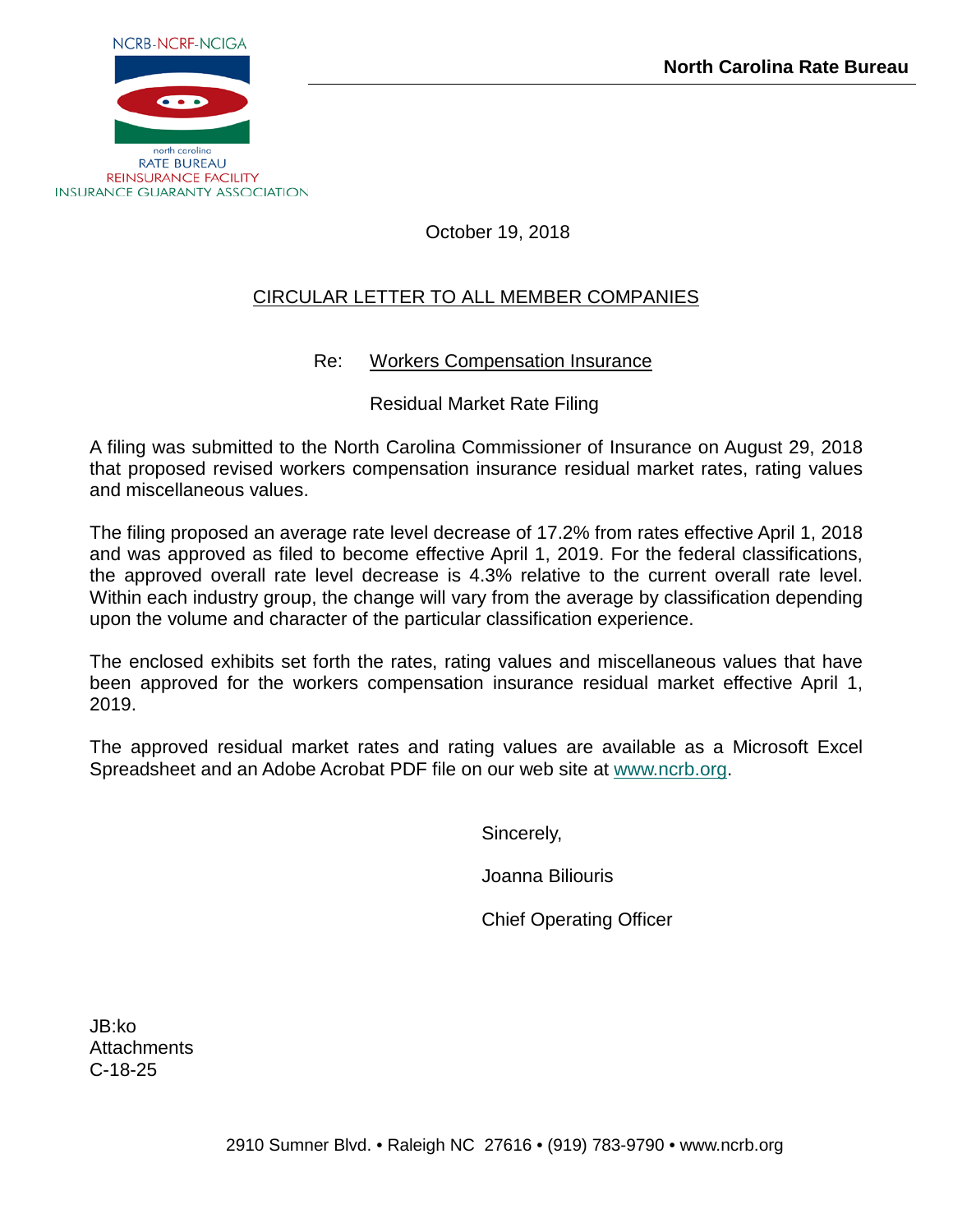

## October 19, 2018

# CIRCULAR LETTER TO ALL MEMBER COMPANIES

## Re: Workers Compensation Insurance

Residual Market Rate Filing

A filing was submitted to the North Carolina Commissioner of Insurance on August 29, 2018 that proposed revised workers compensation insurance residual market rates, rating values and miscellaneous values.

The filing proposed an average rate level decrease of 17.2% from rates effective April 1, 2018 and was approved as filed to become effective April 1, 2019. For the federal classifications, the approved overall rate level decrease is 4.3% relative to the current overall rate level. Within each industry group, the change will vary from the average by classification depending upon the volume and character of the particular classification experience.

The enclosed exhibits set forth the rates, rating values and miscellaneous values that have been approved for the workers compensation insurance residual market effective April 1, 2019.

The approved residual market rates and rating values are available as a Microsoft Excel Spreadsheet and an Adobe Acrobat PDF file on our web site at [www.ncrb.org.](http://www.ncrb.org/)

Sincerely,

Joanna Biliouris

Chief Operating Officer

JB:ko **Attachments** C-18-25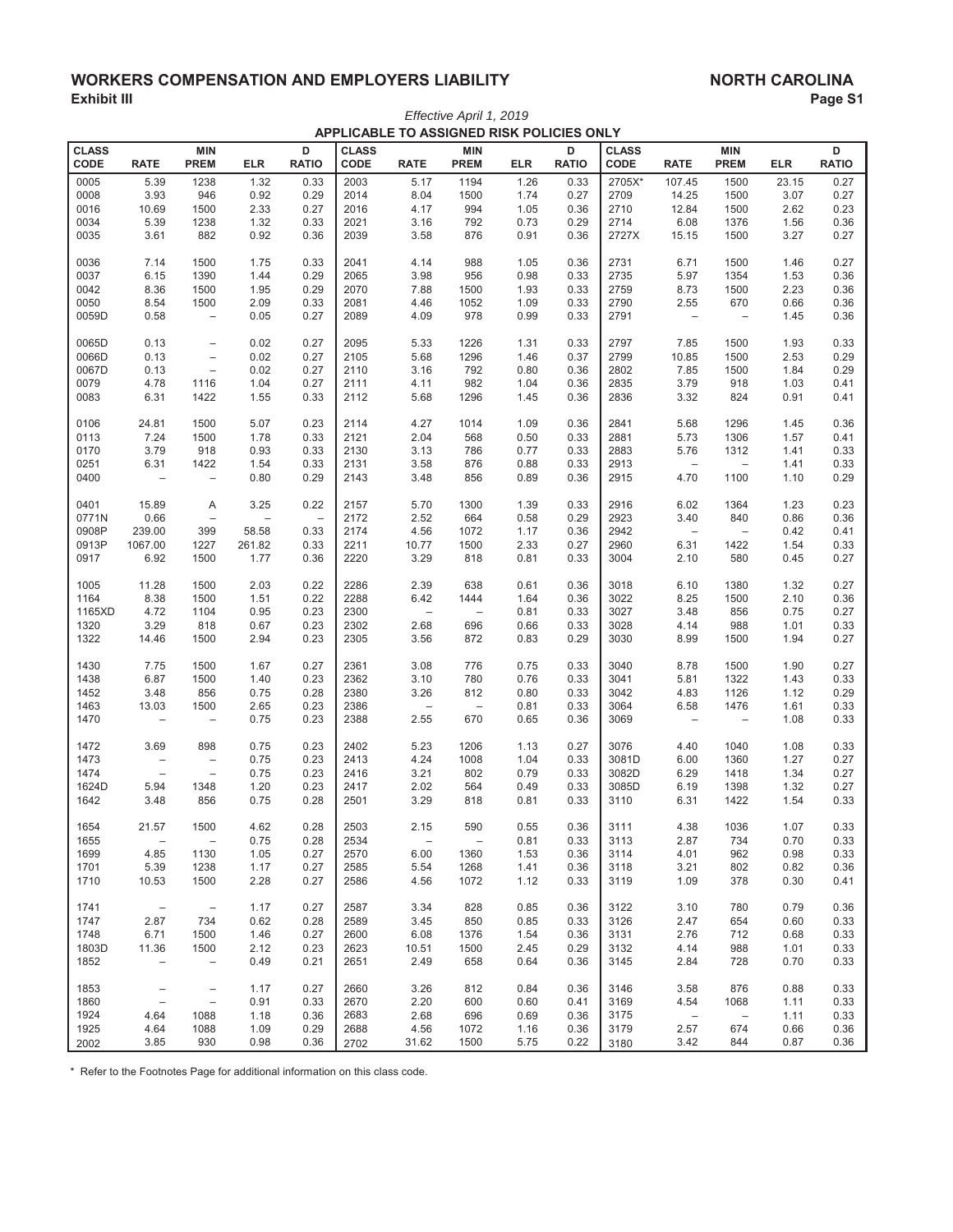## **:25.(3) WORKERS COMPENSATION AND EMPLOYERS LIABILITY Exhibit III** NORTH CAROLINA<br>Exhibit III Page S **(Exhibit III)** Page S1

| Effective April 1, 2019<br>APPLICABLE TO ASSIGNED RISK POLICIES ONLY |                          |                          |                          |                   |              |                          |                          |            |              |              |                          |                                 |            |              |
|----------------------------------------------------------------------|--------------------------|--------------------------|--------------------------|-------------------|--------------|--------------------------|--------------------------|------------|--------------|--------------|--------------------------|---------------------------------|------------|--------------|
| <b>CLASS</b>                                                         |                          | <b>MIN</b>               |                          | D                 | <b>CLASS</b> |                          | <b>MIN</b>               |            | D            | <b>CLASS</b> |                          | <b>MIN</b>                      |            | D            |
| CODE                                                                 | <b>RATE</b>              | <b>PREM</b>              | <b>ELR</b>               | <b>RATIO</b>      | CODE         | <b>RATE</b>              | <b>PREM</b>              | <b>ELR</b> | <b>RATIO</b> | CODE         | <b>RATE</b>              | <b>PREM</b>                     | <b>ELR</b> | <b>RATIO</b> |
| 0005                                                                 | 5.39                     | 1238                     | 1.32                     | 0.33              | 2003         | 5.17                     | 1194                     | 1.26       | 0.33         | 2705X*       | 107.45                   | 1500                            | 23.15      | 0.27         |
| 0008                                                                 | 3.93                     | 946                      | 0.92                     | 0.29              | 2014         | 8.04                     | 1500                     | 1.74       | 0.27         | 2709         | 14.25                    | 1500                            | 3.07       | 0.27         |
| 0016                                                                 | 10.69                    | 1500                     | 2.33                     | 0.27              | 2016         | 4.17                     | 994                      | 1.05       | 0.36         | 2710         | 12.84                    | 1500                            | 2.62       | 0.23         |
| 0034                                                                 | 5.39                     | 1238                     | 1.32                     | 0.33              | 2021         | 3.16                     | 792                      | 0.73       | 0.29         | 2714         | 6.08                     | 1376                            | 1.56       | 0.36         |
| 0035                                                                 | 3.61                     | 882                      | 0.92                     | 0.36              | 2039         | 3.58                     | 876                      | 0.91       | 0.36         | 2727X        | 15.15                    | 1500                            | 3.27       | 0.27         |
| 0036                                                                 | 7.14                     | 1500                     | 1.75                     | 0.33              | 2041         | 4.14                     | 988                      | 1.05       | 0.36         | 2731         | 6.71                     | 1500                            | 1.46       | 0.27         |
| 0037                                                                 | 6.15                     | 1390                     | 1.44                     | 0.29              | 2065         | 3.98                     | 956                      | 0.98       | 0.33         | 2735         | 5.97                     | 1354                            | 1.53       | 0.36         |
| 0042                                                                 | 8.36                     | 1500                     | 1.95                     | 0.29              | 2070         | 7.88                     | 1500                     | 1.93       | 0.33         | 2759         | 8.73                     | 1500                            | 2.23       | 0.36         |
| 0050                                                                 | 8.54                     | 1500                     | 2.09                     | 0.33              | 2081         | 4.46                     | 1052                     | 1.09       | 0.33         | 2790         | 2.55                     | 670<br>$\overline{\phantom{0}}$ | 0.66       | 0.36         |
| 0059D                                                                | 0.58                     | $\overline{\phantom{m}}$ | 0.05                     | 0.27              | 2089         | 4.09                     | 978                      | 0.99       | 0.33         | 2791         | $\qquad \qquad -$        |                                 | 1.45       | 0.36         |
| 0065D                                                                | 0.13                     | $\qquad \qquad -$        | 0.02                     | 0.27              | 2095         | 5.33                     | 1226                     | 1.31       | 0.33         | 2797         | 7.85                     | 1500                            | 1.93       | 0.33         |
| 0066D                                                                | 0.13                     | $\qquad \qquad -$        | 0.02                     | 0.27              | 2105         | 5.68                     | 1296                     | 1.46       | 0.37         | 2799         | 10.85                    | 1500                            | 2.53       | 0.29         |
| 0067D                                                                | 0.13                     | $\overline{\phantom{0}}$ | 0.02                     | 0.27              | 2110         | 3.16                     | 792                      | 0.80       | 0.36         | 2802         | 7.85                     | 1500                            | 1.84       | 0.29         |
| 0079                                                                 | 4.78                     | 1116                     | 1.04                     | 0.27              | 2111         | 4.11                     | 982                      | 1.04       | 0.36         | 2835         | 3.79                     | 918<br>824                      | 1.03       | 0.41         |
| 0083                                                                 | 6.31                     | 1422                     | 1.55                     | 0.33              | 2112         | 5.68                     | 1296                     | 1.45       | 0.36         | 2836         | 3.32                     |                                 | 0.91       | 0.41         |
| 0106                                                                 | 24.81                    | 1500                     | 5.07                     | 0.23              | 2114         | 4.27                     | 1014                     | 1.09       | 0.36         | 2841         | 5.68                     | 1296                            | 1.45       | 0.36         |
| 0113                                                                 | 7.24                     | 1500                     | 1.78                     | 0.33              | 2121         | 2.04                     | 568                      | 0.50       | 0.33         | 2881         | 5.73                     | 1306                            | 1.57       | 0.41         |
| 0170                                                                 | 3.79                     | 918                      | 0.93                     | 0.33              | 2130         | 3.13                     | 786                      | 0.77       | 0.33         | 2883         | 5.76                     | 1312                            | 1.41       | 0.33         |
| 0251                                                                 | 6.31                     | 1422                     | 1.54                     | 0.33              | 2131         | 3.58                     | 876                      | 0.88       | 0.33         | 2913         | $\overline{\phantom{m}}$ | $\qquad \qquad -$               | 1.41       | 0.33         |
| 0400                                                                 | $\qquad \qquad -$        | $\qquad \qquad -$        | 0.80                     | 0.29              | 2143         | 3.48                     | 856                      | 0.89       | 0.36         | 2915         | 4.70                     | 1100                            | 1.10       | 0.29         |
| 0401                                                                 | 15.89                    | Α                        | 3.25                     | 0.22              | 2157         | 5.70                     | 1300                     | 1.39       | 0.33         | 2916         | 6.02                     | 1364                            | 1.23       | 0.23         |
| 0771N                                                                | 0.66                     | $\qquad \qquad -$        | $\overline{\phantom{0}}$ | $\qquad \qquad -$ | 2172         | 2.52                     | 664                      | 0.58       | 0.29         | 2923         | 3.40                     | 840                             | 0.86       | 0.36         |
| 0908P                                                                | 239.00                   | 399                      | 58.58                    | 0.33              | 2174         | 4.56                     | 1072                     | 1.17       | 0.36         | 2942         | $\qquad \qquad -$        | $\qquad \qquad -$               | 0.42       | 0.41         |
| 0913P                                                                | 1067.00                  | 1227                     | 261.82                   | 0.33              | 2211         | 10.77                    | 1500                     | 2.33       | 0.27         | 2960         | 6.31                     | 1422                            | 1.54       | 0.33         |
| 0917                                                                 | 6.92                     | 1500                     | 1.77                     | 0.36              | 2220         | 3.29                     | 818                      | 0.81       | 0.33         | 3004         | 2.10                     | 580                             | 0.45       | 0.27         |
| 1005                                                                 | 11.28                    | 1500                     | 2.03                     | 0.22              | 2286         | 2.39                     | 638                      | 0.61       | 0.36         | 3018         | 6.10                     | 1380                            | 1.32       | 0.27         |
| 1164                                                                 | 8.38                     | 1500                     | 1.51                     | 0.22              | 2288         | 6.42                     | 1444                     | 1.64       | 0.36         | 3022         | 8.25                     | 1500                            | 2.10       | 0.36         |
| 1165XD                                                               | 4.72                     | 1104                     | 0.95                     | 0.23              | 2300         | $\overline{\phantom{a}}$ | $\overline{\phantom{0}}$ | 0.81       | 0.33         | 3027         | 3.48                     | 856                             | 0.75       | 0.27         |
| 1320                                                                 | 3.29                     | 818                      | 0.67                     | 0.23              | 2302         | 2.68                     | 696                      | 0.66       | 0.33         | 3028         | 4.14                     | 988                             | 1.01       | 0.33         |
| 1322                                                                 | 14.46                    | 1500                     | 2.94                     | 0.23              | 2305         | 3.56                     | 872                      | 0.83       | 0.29         | 3030         | 8.99                     | 1500                            | 1.94       | 0.27         |
| 1430                                                                 | 7.75                     | 1500                     | 1.67                     | 0.27              | 2361         | 3.08                     | 776                      | 0.75       | 0.33         | 3040         | 8.78                     | 1500                            | 1.90       | 0.27         |
| 1438                                                                 | 6.87                     | 1500                     | 1.40                     | 0.23              | 2362         | 3.10                     | 780                      | 0.76       | 0.33         | 3041         | 5.81                     | 1322                            | 1.43       | 0.33         |
| 1452                                                                 | 3.48                     | 856                      | 0.75                     | 0.28              | 2380         | 3.26                     | 812                      | 0.80       | 0.33         | 3042         | 4.83                     | 1126                            | 1.12       | 0.29         |
| 1463                                                                 | 13.03                    | 1500                     | 2.65                     | 0.23              | 2386         | $\overline{\phantom{a}}$ | $\qquad \qquad -$        | 0.81       | 0.33         | 3064         | 6.58                     | 1476                            | 1.61       | 0.33         |
| 1470                                                                 | $\qquad \qquad -$        | $\qquad \qquad -$        | 0.75                     | 0.23              | 2388         | 2.55                     | 670                      | 0.65       | 0.36         | 3069         | $\qquad \qquad -$        | $\qquad \qquad -$               | 1.08       | 0.33         |
| 1472                                                                 | 3.69                     | 898                      | 0.75                     | 0.23              | 2402         | 5.23                     | 1206                     | 1.13       | 0.27         | 3076         | 4.40                     | 1040                            | 1.08       | 0.33         |
| 1473                                                                 | $\overline{\phantom{0}}$ | $\overline{\phantom{a}}$ | 0.75                     | 0.23              | 2413         | 4.24                     | 1008                     | 1.04       | 0.33         | 3081D        | 6.00                     | 1360                            | 1.27       | 0.27         |
| 1474                                                                 | $\qquad \qquad -$        | $\qquad \qquad -$        | 0.75                     | 0.23              | 2416         | 3.21                     | 802                      | 0.79       | 0.33         | 3082D        | 6.29                     | 1418                            | 1.34       | 0.27         |
| 1624D                                                                | 5.94                     | 1348                     | 1.20                     | 0.23              | 2417         | 2.02                     | 564                      | 0.49       | 0.33         | 3085D        | 6.19                     | 1398                            | 1.32       | 0.27         |
| 1642                                                                 | 3.48                     | 856                      | 0.75                     | 0.28              | 2501         | 3.29                     | 818                      | 0.81       | 0.33         | 3110         | 6.31                     | 1422                            | 1.54       | 0.33         |
| 1654                                                                 | 21.57                    | 1500                     | 4.62                     | 0.28              | 2503         | 2.15                     | 590                      | 0.55       | 0.36         | 3111         | 4.38                     | 1036                            | 1.07       | 0.33         |
| 1655                                                                 | $\overline{\phantom{a}}$ | $\qquad \qquad -$        | 0.75                     | 0.28              | 2534         | $\qquad \qquad -$        | $\qquad \qquad -$        | 0.81       | 0.33         | 3113         | 2.87                     | 734                             | 0.70       | 0.33         |
| 1699                                                                 | 4.85                     | 1130                     | 1.05                     | 0.27              | 2570         | 6.00                     | 1360                     | 1.53       | 0.36         | 3114         | 4.01                     | 962                             | 0.98       | 0.33         |
| 1701                                                                 | 5.39                     | 1238                     | 1.17                     | 0.27              | 2585         | 5.54                     | 1268                     | 1.41       | 0.36         | 3118         | 3.21                     | 802                             | 0.82       | 0.36         |
| 1710                                                                 | 10.53                    | 1500                     | 2.28                     | 0.27              | 2586         | 4.56                     | 1072                     | 1.12       | 0.33         | 3119         | 1.09                     | 378                             | 0.30       | 0.41         |
| 1741                                                                 | $\overline{\phantom{a}}$ | $\overline{\phantom{a}}$ | 1.17                     | 0.27              | 2587         | 3.34                     | 828                      | 0.85       | 0.36         | 3122         | 3.10                     | 780                             | 0.79       | 0.36         |
| 1747                                                                 | 2.87                     | 734                      | 0.62                     | 0.28              | 2589         | 3.45                     | 850                      | 0.85       | 0.33         | 3126         | 2.47                     | 654                             | 0.60       | 0.33         |
| 1748                                                                 | 6.71                     | 1500                     | 1.46                     | 0.27              | 2600         | 6.08                     | 1376                     | 1.54       | 0.36         | 3131         | 2.76                     | 712                             | 0.68       | 0.33         |
| 1803D                                                                | 11.36                    | 1500                     | 2.12                     | 0.23              | 2623         | 10.51                    | 1500                     | 2.45       | 0.29         | 3132         | 4.14                     | 988                             | 1.01       | 0.33         |
| 1852                                                                 | $\qquad \qquad -$        | $\overline{\phantom{m}}$ | 0.49                     | 0.21              | 2651         | 2.49                     | 658                      | 0.64       | 0.36         | 3145         | 2.84                     | 728                             | 0.70       | 0.33         |
| 1853                                                                 | $\overline{\phantom{m}}$ | $\overline{\phantom{a}}$ | 1.17                     | 0.27              | 2660         | 3.26                     | 812                      | 0.84       | 0.36         | 3146         | 3.58                     | 876                             | 0.88       | 0.33         |
| 1860                                                                 | $\overline{\phantom{a}}$ | $\overline{\phantom{m}}$ | 0.91                     | 0.33              | 2670         | 2.20                     | 600                      | 0.60       | 0.41         | 3169         | 4.54                     | 1068                            | 1.11       | 0.33         |
| 1924                                                                 | 4.64                     | 1088                     | 1.18                     | 0.36              | 2683         | 2.68                     | 696                      | 0.69       | 0.36         | 3175         | $\overline{\phantom{a}}$ | $\qquad \qquad -$               | 1.11       | 0.33         |
| 1925                                                                 | 4.64                     | 1088                     | 1.09                     | 0.29              | 2688         | 4.56                     | 1072                     | 1.16       | 0.36         | 3179         | 2.57                     | 674                             | 0.66       | 0.36         |
| 2002                                                                 | 3.85                     | 930                      | 0.98                     | 0.36              | 2702         | 31.62                    | 1500                     | 5.75       | 0.22         | 3180         | 3.42                     | 844                             | 0.87       | 0.36         |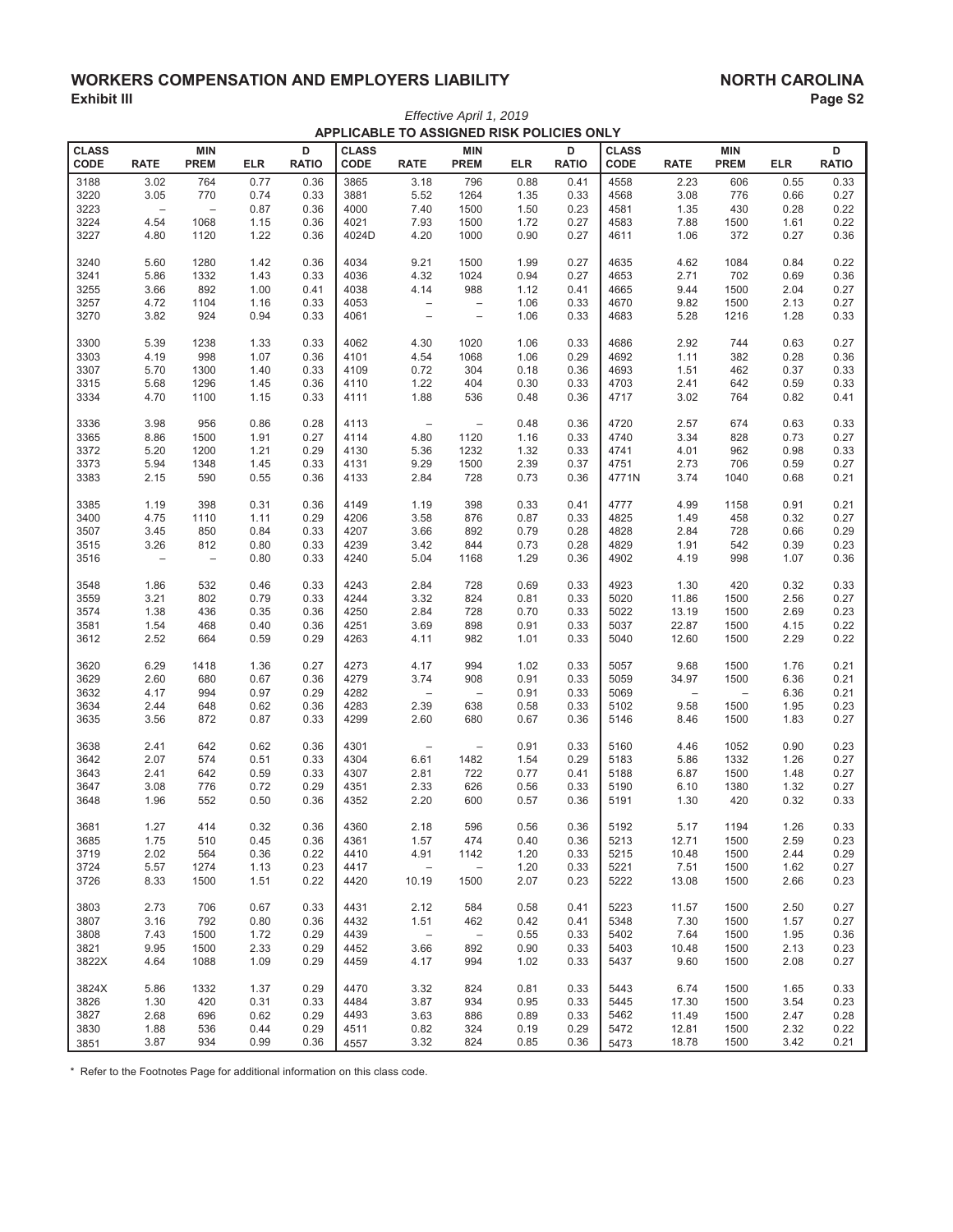## **:25.6 WORKERS COMPENSATION AND EMPLOYERS LIABILITY<br>Exhibit III Page S2 (Exhibit III)** Page S2 **(Exhibit III)** Page S2 *Effective April 1, 2019*

|              |                   |                          |            |              |              | APPLICABLE TO ASSIGNED RISK POLICIES ONLY |                          |            |              |              |                          |                          |            |              |
|--------------|-------------------|--------------------------|------------|--------------|--------------|-------------------------------------------|--------------------------|------------|--------------|--------------|--------------------------|--------------------------|------------|--------------|
| <b>CLASS</b> |                   | <b>MIN</b>               |            | D            | <b>CLASS</b> |                                           | <b>MIN</b>               |            | D            | <b>CLASS</b> |                          | <b>MIN</b>               |            | D            |
| CODE         | <b>RATE</b>       | <b>PREM</b>              | <b>ELR</b> | <b>RATIO</b> | CODE         | <b>RATE</b>                               | <b>PREM</b>              | <b>ELR</b> | <b>RATIO</b> | CODE         | <b>RATE</b>              | <b>PREM</b>              | <b>ELR</b> | <b>RATIO</b> |
| 3188         | 3.02              | 764                      | 0.77       | 0.36         | 3865         | 3.18                                      | 796                      | 0.88       | 0.41         | 4558         | 2.23                     | 606                      | 0.55       | 0.33         |
| 3220         | 3.05              | 770                      | 0.74       | 0.33         | 3881         | 5.52                                      | 1264                     | 1.35       | 0.33         | 4568         | 3.08                     | 776                      | 0.66       | 0.27         |
| 3223         | $\qquad \qquad -$ | $\overline{\phantom{0}}$ | 0.87       | 0.36         | 4000         | 7.40                                      | 1500                     | 1.50       | 0.23         | 4581         | 1.35                     | 430                      | 0.28       | 0.22         |
| 3224         | 4.54              | 1068                     |            | 0.36         | 4021         | 7.93                                      | 1500                     | 1.72       |              | 4583         |                          | 1500                     |            | 0.22         |
|              |                   |                          | 1.15       |              |              |                                           |                          |            | 0.27         |              | 7.88                     |                          | 1.61       |              |
| 3227         | 4.80              | 1120                     | 1.22       | 0.36         | 4024D        | 4.20                                      | 1000                     | 0.90       | 0.27         | 4611         | 1.06                     | 372                      | 0.27       | 0.36         |
| 3240         | 5.60              | 1280                     | 1.42       | 0.36         | 4034         | 9.21                                      | 1500                     | 1.99       | 0.27         | 4635         | 4.62                     | 1084                     | 0.84       | 0.22         |
| 3241         | 5.86              | 1332                     | 1.43       | 0.33         | 4036         | 4.32                                      | 1024                     | 0.94       | 0.27         | 4653         | 2.71                     | 702                      | 0.69       | 0.36         |
| 3255         | 3.66              | 892                      | 1.00       | 0.41         | 4038         | 4.14                                      | 988                      | 1.12       | 0.41         | 4665         | 9.44                     | 1500                     | 2.04       | 0.27         |
| 3257         | 4.72              | 1104                     | 1.16       | 0.33         | 4053         | $\overline{\phantom{a}}$                  | $\qquad \qquad -$        | 1.06       | 0.33         | 4670         | 9.82                     | 1500                     | 2.13       | 0.27         |
| 3270         | 3.82              | 924                      | 0.94       | 0.33         | 4061         | $\qquad \qquad -$                         | $\qquad \qquad -$        | 1.06       | 0.33         | 4683         | 5.28                     | 1216                     | 1.28       | 0.33         |
|              |                   |                          |            |              |              |                                           |                          |            |              |              |                          |                          |            |              |
| 3300         | 5.39              | 1238                     | 1.33       | 0.33         | 4062         | 4.30                                      | 1020                     | 1.06       | 0.33         | 4686         | 2.92                     | 744                      | 0.63       | 0.27         |
| 3303         | 4.19              | 998                      | 1.07       | 0.36         | 4101         | 4.54                                      | 1068                     | 1.06       | 0.29         | 4692         | 1.11                     | 382                      | 0.28       | 0.36         |
| 3307         | 5.70              | 1300                     | 1.40       | 0.33         | 4109         | 0.72                                      | 304                      | 0.18       | 0.36         | 4693         | 1.51                     | 462                      | 0.37       | 0.33         |
| 3315         | 5.68              | 1296                     | 1.45       | 0.36         | 4110         | 1.22                                      | 404                      | 0.30       | 0.33         | 4703         | 2.41                     | 642                      | 0.59       | 0.33         |
| 3334         | 4.70              | 1100                     | 1.15       | 0.33         | 4111         | 1.88                                      | 536                      | 0.48       | 0.36         | 4717         | 3.02                     | 764                      | 0.82       | 0.41         |
| 3336         | 3.98              | 956                      | 0.86       | 0.28         | 4113         | $\overline{\phantom{a}}$                  | $\qquad \qquad -$        | 0.48       | 0.36         | 4720         | 2.57                     | 674                      | 0.63       | 0.33         |
| 3365         | 8.86              | 1500                     | 1.91       | 0.27         | 4114         | 4.80                                      | 1120                     | 1.16       | 0.33         | 4740         | 3.34                     | 828                      | 0.73       | 0.27         |
| 3372         |                   |                          |            | 0.29         | 4130         |                                           |                          | 1.32       |              |              |                          | 962                      |            | 0.33         |
|              | 5.20              | 1200                     | 1.21       |              |              | 5.36                                      | 1232                     |            | 0.33         | 4741         | 4.01                     |                          | 0.98       |              |
| 3373         | 5.94              | 1348                     | 1.45       | 0.33         | 4131         | 9.29                                      | 1500                     | 2.39       | 0.37         | 4751         | 2.73                     | 706                      | 0.59       | 0.27         |
| 3383         | 2.15              | 590                      | 0.55       | 0.36         | 4133         | 2.84                                      | 728                      | 0.73       | 0.36         | 4771N        | 3.74                     | 1040                     | 0.68       | 0.21         |
| 3385         | 1.19              | 398                      | 0.31       | 0.36         | 4149         | 1.19                                      | 398                      | 0.33       | 0.41         | 4777         | 4.99                     | 1158                     | 0.91       | 0.21         |
| 3400         | 4.75              | 1110                     | 1.11       | 0.29         | 4206         | 3.58                                      | 876                      | 0.87       | 0.33         | 4825         | 1.49                     | 458                      | 0.32       | 0.27         |
| 3507         | 3.45              | 850                      | 0.84       | 0.33         | 4207         | 3.66                                      | 892                      | 0.79       | 0.28         | 4828         | 2.84                     | 728                      | 0.66       | 0.29         |
| 3515         | 3.26              | 812                      | 0.80       | 0.33         | 4239         | 3.42                                      | 844                      | 0.73       | 0.28         | 4829         | 1.91                     | 542                      | 0.39       | 0.23         |
| 3516         | $\qquad \qquad -$ | $\overline{\phantom{a}}$ | 0.80       | 0.33         | 4240         | 5.04                                      | 1168                     | 1.29       | 0.36         | 4902         | 4.19                     | 998                      | 1.07       | 0.36         |
|              |                   |                          |            |              |              |                                           |                          |            |              |              |                          |                          |            |              |
| 3548         | 1.86              | 532                      | 0.46       | 0.33         | 4243         | 2.84                                      | 728                      | 0.69       | 0.33         | 4923         | 1.30                     | 420                      | 0.32       | 0.33         |
| 3559         | 3.21              | 802                      | 0.79       | 0.33         | 4244         | 3.32                                      | 824                      | 0.81       | 0.33         | 5020         | 11.86                    | 1500                     | 2.56       | 0.27         |
| 3574         | 1.38              | 436                      | 0.35       | 0.36         | 4250         | 2.84                                      | 728                      | 0.70       | 0.33         | 5022         | 13.19                    | 1500                     | 2.69       | 0.23         |
| 3581         | 1.54              | 468                      | 0.40       | 0.36         | 4251         | 3.69                                      | 898                      | 0.91       | 0.33         | 5037         | 22.87                    | 1500                     | 4.15       | 0.22         |
| 3612         | 2.52              | 664                      | 0.59       | 0.29         | 4263         | 4.11                                      | 982                      | 1.01       | 0.33         | 5040         | 12.60                    | 1500                     | 2.29       | 0.22         |
| 3620         | 6.29              | 1418                     | 1.36       | 0.27         | 4273         | 4.17                                      | 994                      | 1.02       | 0.33         | 5057         | 9.68                     | 1500                     | 1.76       | 0.21         |
| 3629         | 2.60              | 680                      | 0.67       | 0.36         | 4279         | 3.74                                      | 908                      | 0.91       | 0.33         | 5059         | 34.97                    | 1500                     | 6.36       | 0.21         |
| 3632         | 4.17              | 994                      | 0.97       | 0.29         | 4282         | $\overline{\phantom{a}}$                  | $\overline{\phantom{0}}$ | 0.91       | 0.33         | 5069         | $\overline{\phantom{m}}$ | $\overline{\phantom{0}}$ | 6.36       | 0.21         |
| 3634         | 2.44              | 648                      | 0.62       | 0.36         | 4283         | 2.39                                      | 638                      | 0.58       | 0.33         | 5102         | 9.58                     | 1500                     | 1.95       | 0.23         |
| 3635         | 3.56              | 872                      | 0.87       | 0.33         | 4299         | 2.60                                      | 680                      | 0.67       | 0.36         | 5146         | 8.46                     | 1500                     | 1.83       | 0.27         |
|              |                   |                          |            |              |              |                                           |                          |            |              |              |                          |                          |            |              |
| 3638         | 2.41              | 642                      | 0.62       | 0.36         | 4301         | $\overline{\phantom{a}}$                  | $\qquad \qquad -$        | 0.91       | 0.33         | 5160         | 4.46                     | 1052                     | 0.90       | 0.23         |
| 3642         | 2.07              | 574                      | 0.51       | 0.33         | 4304         | 6.61                                      | 1482                     | 1.54       | 0.29         | 5183         | 5.86                     | 1332                     | 1.26       | 0.27         |
| 3643         | 2.41              | 642                      | 0.59       | 0.33         | 4307         | 2.81                                      | 722                      | 0.77       | 0.41         | 5188         | 6.87                     | 1500                     | 1.48       | 0.27         |
| 3647         | 3.08              | 776                      | 0.72       | 0.29         | 4351         | 2.33                                      | 626                      | 0.56       | 0.33         | 5190         | 6.10                     | 1380                     | 1.32       | 0.27         |
| 3648         | 1.96              | 552                      | 0.50       | 0.36         | 4352         | 2.20                                      | 600                      | 0.57       | 0.36         | 5191         | 1.30                     | 420                      | 0.32       | 0.33         |
| 3681         | 1.27              | 414                      | 0.32       | 0.36         | 4360         | 2.18                                      | 596                      | 0.56       | 0.36         | 5192         | 5.17                     | 1194                     | 1.26       | 0.33         |
| 3685         | 1.75              | 510                      | 0.45       | 0.36         | 4361         | 1.57                                      | 474                      | 0.40       | 0.36         | 5213         | 12.71                    | 1500                     | 2.59       | 0.23         |
| 3719         | 2.02              | 564                      | 0.36       | 0.22         | 4410         | 4.91                                      | 1142                     | 1.20       | 0.33         | 5215         | 10.48                    | 1500                     | 2.44       | 0.29         |
| 3724         | 5.57              | 1274                     | 1.13       | 0.23         | 4417         | $\hspace{0.1mm}-\hspace{0.1mm}$           | $\qquad \qquad -$        | 1.20       | 0.33         | 5221         | 7.51                     | 1500                     | 1.62       | 0.27         |
| 3726         | 8.33              | 1500                     | 1.51       | 0.22         | 4420         | 10.19                                     | 1500                     | 2.07       | 0.23         | 5222         | 13.08                    | 1500                     | 2.66       | 0.23         |
|              |                   |                          |            |              |              |                                           |                          |            |              |              |                          |                          |            |              |
| 3803         | 2.73              | 706                      | 0.67       | 0.33         | 4431         | 2.12                                      | 584                      | 0.58       | 0.41         | 5223         | 11.57                    | 1500                     | 2.50       | 0.27         |
| 3807         | 3.16              | 792                      | 0.80       | 0.36         | 4432         | 1.51                                      | 462                      | 0.42       | 0.41         | 5348         | 7.30                     | 1500                     | 1.57       | 0.27         |
| 3808         | 7.43              | 1500                     | 1.72       | 0.29         | 4439         | $\overline{\phantom{a}}$                  | $\overline{\phantom{a}}$ | 0.55       | 0.33         | 5402         | 7.64                     | 1500                     | 1.95       | 0.36         |
| 3821         | 9.95              | 1500                     | 2.33       | 0.29         | 4452         | 3.66                                      | 892                      | 0.90       | 0.33         | 5403         | 10.48                    | 1500                     | 2.13       | 0.23         |
| 3822X        | 4.64              | 1088                     | 1.09       | 0.29         | 4459         | 4.17                                      | 994                      | 1.02       | 0.33         | 5437         | 9.60                     | 1500                     | 2.08       | 0.27         |
| 3824X        | 5.86              | 1332                     | 1.37       | 0.29         | 4470         | 3.32                                      | 824                      | 0.81       | 0.33         | 5443         | 6.74                     | 1500                     | 1.65       | 0.33         |
| 3826         | 1.30              | 420                      | 0.31       | 0.33         | 4484         | 3.87                                      | 934                      | 0.95       | 0.33         | 5445         | 17.30                    | 1500                     | 3.54       | 0.23         |
| 3827         | 2.68              | 696                      | 0.62       | 0.29         | 4493         | 3.63                                      | 886                      | 0.89       | 0.33         | 5462         | 11.49                    | 1500                     | 2.47       | 0.28         |
| 3830         | 1.88              | 536                      | 0.44       | 0.29         | 4511         | 0.82                                      | 324                      | 0.19       | 0.29         | 5472         | 12.81                    | 1500                     | 2.32       | 0.22         |
| 3851         | 3.87              | 934                      | 0.99       | 0.36         | 4557         | 3.32                                      | 824                      | 0.85       | 0.36         | 5473         | 18.78                    | 1500                     | 3.42       | 0.21         |
|              |                   |                          |            |              |              |                                           |                          |            |              |              |                          |                          |            |              |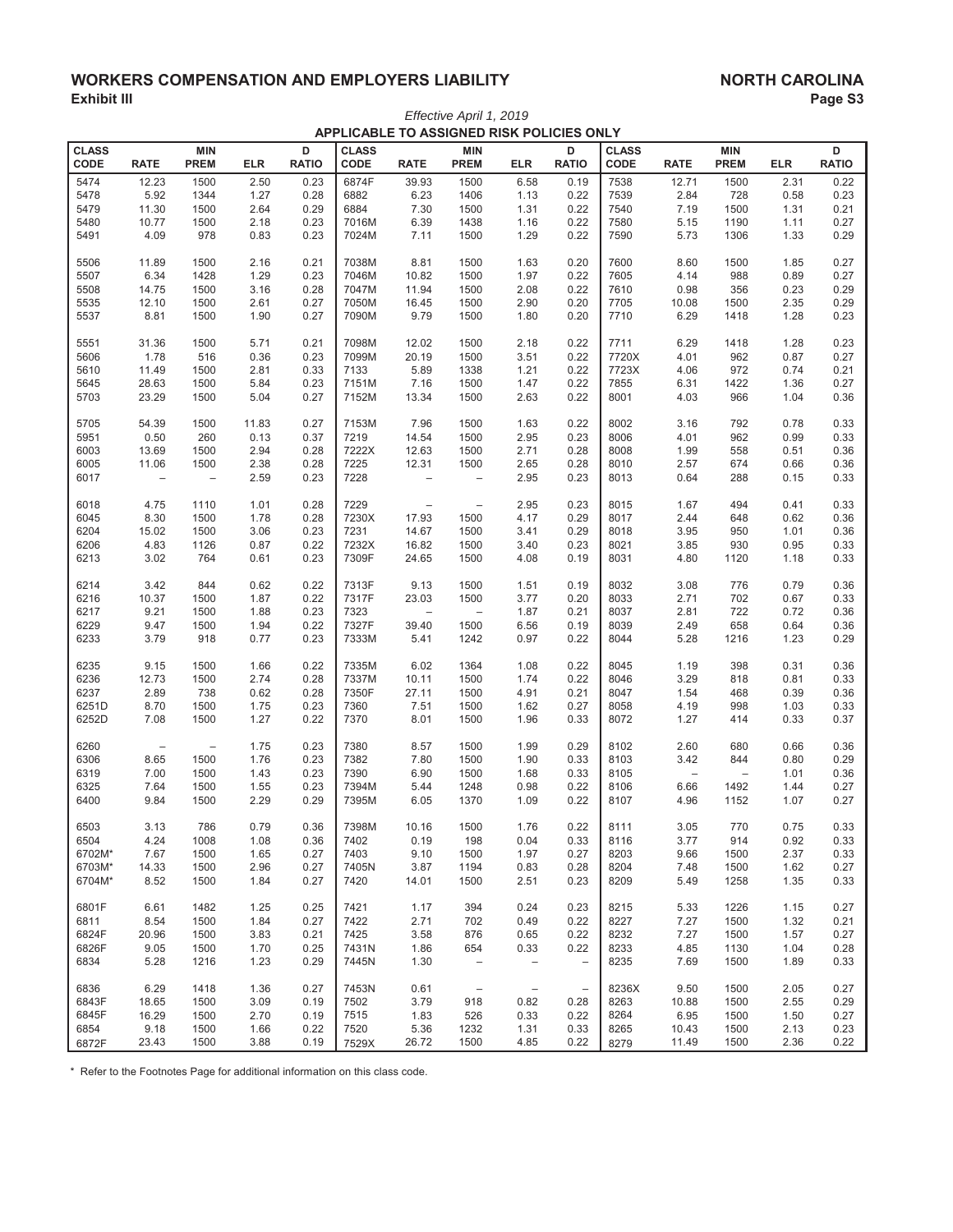## **XORKERS COMPENSATION AND EMPLOYERS LIABILITY FRAGE ASSESS AND A SAMPLOYERS LIABILITY** Exhibit III **Page S3 (Exhibit III)** Page S3 *Effective April 1, 2019*

|                      | APPLICABLE TO ASSIGNED RISK POLICIES ONLY |                           |            |                   |                      |                          |                                   |                          |                          |                      |                          |                           |            |                   |
|----------------------|-------------------------------------------|---------------------------|------------|-------------------|----------------------|--------------------------|-----------------------------------|--------------------------|--------------------------|----------------------|--------------------------|---------------------------|------------|-------------------|
| <b>CLASS</b><br>CODE | <b>RATE</b>                               | <b>MIN</b><br><b>PREM</b> | <b>ELR</b> | D<br><b>RATIO</b> | <b>CLASS</b><br>CODE | <b>RATE</b>              | <b>MIN</b><br><b>PREM</b>         | <b>ELR</b>               | D<br><b>RATIO</b>        | <b>CLASS</b><br>CODE | <b>RATE</b>              | <b>MIN</b><br><b>PREM</b> | <b>ELR</b> | D<br><b>RATIO</b> |
|                      |                                           |                           |            |                   |                      |                          |                                   |                          |                          |                      |                          |                           |            |                   |
| 5474                 | 12.23                                     | 1500                      | 2.50       | 0.23              | 6874F                | 39.93                    | 1500                              | 6.58                     | 0.19                     | 7538                 | 12.71                    | 1500                      | 2.31       | 0.22              |
| 5478                 | 5.92                                      | 1344                      | 1.27       | 0.28              | 6882                 | 6.23                     | 1406                              | 1.13                     | 0.22                     | 7539                 | 2.84                     | 728                       | 0.58       | 0.23              |
| 5479                 | 11.30                                     | 1500                      | 2.64       | 0.29              | 6884                 | 7.30                     | 1500                              | 1.31                     | 0.22                     | 7540                 | 7.19                     | 1500                      | 1.31       | 0.21              |
| 5480                 | 10.77                                     | 1500                      | 2.18       | 0.23              | 7016M                | 6.39                     | 1438                              | 1.16                     | 0.22                     | 7580                 | 5.15                     | 1190                      | 1.11       | 0.27              |
| 5491                 | 4.09                                      | 978                       | 0.83       | 0.23              | 7024M                | 7.11                     | 1500                              | 1.29                     | 0.22                     | 7590                 | 5.73                     | 1306                      | 1.33       | 0.29              |
| 5506                 | 11.89                                     | 1500                      | 2.16       | 0.21              | 7038M                | 8.81                     | 1500                              | 1.63                     | 0.20                     | 7600                 | 8.60                     | 1500                      | 1.85       | 0.27              |
| 5507                 | 6.34                                      | 1428                      | 1.29       | 0.23              | 7046M                | 10.82                    | 1500                              | 1.97                     | 0.22                     | 7605                 | 4.14                     | 988                       | 0.89       | 0.27              |
| 5508                 | 14.75                                     | 1500                      | 3.16       | 0.28              | 7047M                | 11.94                    | 1500                              | 2.08                     | 0.22                     | 7610                 | 0.98                     | 356                       | 0.23       | 0.29              |
| 5535                 | 12.10                                     | 1500                      | 2.61       | 0.27              | 7050M                | 16.45                    | 1500                              | 2.90                     | 0.20                     | 7705                 | 10.08                    | 1500                      | 2.35       | 0.29              |
| 5537                 | 8.81                                      | 1500                      | 1.90       | 0.27              | 7090M                | 9.79                     | 1500                              | 1.80                     | 0.20                     | 7710                 | 6.29                     | 1418                      | 1.28       | 0.23              |
| 5551                 | 31.36                                     | 1500                      | 5.71       | 0.21              | 7098M                | 12.02                    | 1500                              | 2.18                     | 0.22                     | 7711                 | 6.29                     | 1418                      | 1.28       | 0.23              |
| 5606                 | 1.78                                      | 516                       | 0.36       | 0.23              | 7099M                | 20.19                    | 1500                              | 3.51                     | 0.22                     | 7720X                | 4.01                     | 962                       | 0.87       | 0.27              |
| 5610                 | 11.49                                     | 1500                      | 2.81       | 0.33              | 7133                 | 5.89                     | 1338                              | 1.21                     | 0.22                     | 7723X                | 4.06                     | 972                       | 0.74       | 0.21              |
| 5645                 | 28.63                                     | 1500                      | 5.84       | 0.23              | 7151M                | 7.16                     | 1500                              | 1.47                     | 0.22                     | 7855                 | 6.31                     | 1422                      | 1.36       | 0.27              |
| 5703                 | 23.29                                     | 1500                      | 5.04       | 0.27              | 7152M                | 13.34                    | 1500                              | 2.63                     | 0.22                     | 8001                 | 4.03                     | 966                       | 1.04       | 0.36              |
| 5705                 | 54.39                                     | 1500                      | 11.83      | 0.27              | 7153M                | 7.96                     | 1500                              | 1.63                     | 0.22                     | 8002                 | 3.16                     | 792                       | 0.78       | 0.33              |
| 5951                 | 0.50                                      | 260                       | 0.13       | 0.37              | 7219                 | 14.54                    | 1500                              | 2.95                     | 0.23                     | 8006                 | 4.01                     | 962                       | 0.99       | 0.33              |
| 6003                 | 13.69                                     | 1500                      | 2.94       | 0.28              | 7222X                | 12.63                    | 1500                              | 2.71                     | 0.28                     | 8008                 | 1.99                     | 558                       | 0.51       | 0.36              |
| 6005                 | 11.06                                     | 1500                      | 2.38       | 0.28              | 7225                 | 12.31                    | 1500                              | 2.65                     | 0.28                     | 8010                 | 2.57                     | 674                       | 0.66       | 0.36              |
| 6017                 | $\qquad \qquad -$                         | $\qquad \qquad -$         | 2.59       | 0.23              | 7228                 | $\qquad \qquad -$        | $\overline{\phantom{0}}$          | 2.95                     | 0.23                     | 8013                 | 0.64                     | 288                       | 0.15       | 0.33              |
| 6018                 | 4.75                                      | 1110                      | 1.01       | 0.28              | 7229                 | $\overline{\phantom{a}}$ | $\qquad \qquad -$                 | 2.95                     | 0.23                     | 8015                 | 1.67                     | 494                       | 0.41       | 0.33              |
| 6045                 | 8.30                                      | 1500                      | 1.78       | 0.28              | 7230X                | 17.93                    | 1500                              | 4.17                     | 0.29                     | 8017                 | 2.44                     | 648                       | 0.62       | 0.36              |
| 6204                 | 15.02                                     | 1500                      | 3.06       | 0.23              | 7231                 | 14.67                    | 1500                              | 3.41                     | 0.29                     | 8018                 | 3.95                     | 950                       | 1.01       | 0.36              |
| 6206                 | 4.83                                      | 1126                      | 0.87       | 0.22              | 7232X                | 16.82                    | 1500                              | 3.40                     | 0.23                     | 8021                 | 3.85                     | 930                       | 0.95       | 0.33              |
| 6213                 | 3.02                                      | 764                       | 0.61       | 0.23              | 7309F                | 24.65                    | 1500                              | 4.08                     | 0.19                     | 8031                 | 4.80                     | 1120                      | 1.18       | 0.33              |
| 6214                 | 3.42                                      | 844                       | 0.62       | 0.22              | 7313F                | 9.13                     | 1500                              | 1.51                     | 0.19                     | 8032                 | 3.08                     | 776                       | 0.79       | 0.36              |
| 6216                 | 10.37                                     | 1500                      | 1.87       | 0.22              | 7317F                | 23.03                    | 1500                              | 3.77                     | 0.20                     | 8033                 | 2.71                     | 702                       | 0.67       | 0.33              |
| 6217                 | 9.21                                      | 1500                      | 1.88       | 0.23              | 7323                 | $\overline{\phantom{a}}$ | $\qquad \qquad -$                 | 1.87                     | 0.21                     | 8037                 | 2.81                     | 722                       | 0.72       | 0.36              |
| 6229                 | 9.47                                      | 1500                      | 1.94       | 0.22              | 7327F                | 39.40                    | 1500                              | 6.56                     | 0.19                     | 8039                 | 2.49                     | 658                       | 0.64       | 0.36              |
| 6233                 | 3.79                                      | 918                       | 0.77       | 0.23              | 7333M                | 5.41                     | 1242                              | 0.97                     | 0.22                     | 8044                 | 5.28                     | 1216                      | 1.23       | 0.29              |
| 6235                 | 9.15                                      | 1500                      | 1.66       | 0.22              | 7335M                | 6.02                     | 1364                              | 1.08                     | 0.22                     | 8045                 | 1.19                     | 398                       | 0.31       | 0.36              |
| 6236                 | 12.73                                     | 1500                      | 2.74       | 0.28              | 7337M                | 10.11                    | 1500                              | 1.74                     | 0.22                     | 8046                 | 3.29                     | 818                       | 0.81       | 0.33              |
| 6237                 | 2.89                                      | 738                       | 0.62       | 0.28              | 7350F                | 27.11                    | 1500                              | 4.91                     | 0.21                     | 8047                 | 1.54                     | 468                       | 0.39       | 0.36              |
| 6251D                | 8.70                                      | 1500                      | 1.75       | 0.23              | 7360                 | 7.51                     | 1500                              | 1.62                     | 0.27                     | 8058                 | 4.19                     | 998                       | 1.03       | 0.33              |
| 6252D                | 7.08                                      | 1500                      | 1.27       | 0.22              | 7370                 | 8.01                     | 1500                              | 1.96                     | 0.33                     | 8072                 | 1.27                     | 414                       | 0.33       | 0.37              |
| 6260                 | $\overline{\phantom{a}}$                  | $\qquad \qquad -$         | 1.75       | 0.23              | 7380                 | 8.57                     | 1500                              | 1.99                     | 0.29                     | 8102                 | 2.60                     | 680                       | 0.66       | 0.36              |
| 6306                 | 8.65                                      | 1500                      | 1.76       | 0.23              | 7382                 | 7.80                     | 1500                              | 1.90                     | 0.33                     | 8103                 | 3.42                     | 844                       | 0.80       | 0.29              |
| 6319                 | 7.00                                      | 1500                      | 1.43       | 0.23              | 7390                 | 6.90                     | 1500                              | 1.68                     | 0.33                     | 8105                 | $\overline{\phantom{m}}$ | $\overline{\phantom{0}}$  | 1.01       | 0.36              |
| 6325                 | 7.64                                      | 1500                      | 1.55       | 0.23              | 7394M                | 5.44                     | 1248                              | 0.98                     | 0.22                     | 8106                 | 6.66                     | 1492                      | 1.44       | 0.27              |
| 6400                 | 9.84                                      | 1500                      | 2.29       | 0.29              | 7395M                | 6.05                     | 1370                              | 1.09                     | 0.22                     | 8107                 | 4.96                     | 1152                      | 1.07       | 0.27              |
| 6503                 | 3.13                                      | 786                       | 0.79       | 0.36              | 7398M                | 10.16                    | 1500                              | 1.76                     | 0.22                     | 8111                 | 3.05                     | 770                       | 0.75       | 0.33              |
| 6504                 | 4.24                                      | 1008                      | 1.08       | 0.36              | 7402                 | 0.19                     | 198                               | 0.04                     | 0.33                     | 8116                 | 3.77                     | 914                       | 0.92       | 0.33              |
| 6702M*               | 7.67                                      | 1500                      | 1.65       | 0.27              | 7403                 | 9.10                     | 1500                              | 1.97                     | 0.27                     | 8203                 | 9.66                     | 1500                      | 2.37       | 0.33              |
| 6703M*               | 14.33                                     | 1500                      | 2.96       | 0.27              | 7405N                | 3.87                     | 1194                              | 0.83                     | 0.28                     | 8204                 | 7.48                     | 1500                      | 1.62       | 0.27              |
| 6704M*               | 8.52                                      | 1500                      | 1.84       | 0.27              | 7420                 | 14.01                    | 1500                              | 2.51                     | 0.23                     | 8209                 | 5.49                     | 1258                      | 1.35       | 0.33              |
| 6801F                | 6.61                                      | 1482                      | 1.25       | 0.25              | 7421                 | 1.17                     | 394                               | 0.24                     | 0.23                     | 8215                 | 5.33                     | 1226                      | 1.15       | 0.27              |
| 6811                 | 8.54                                      | 1500                      | 1.84       | 0.27              | 7422                 | 2.71                     | 702                               | 0.49                     | 0.22                     | 8227                 | 7.27                     | 1500                      | 1.32       | 0.21              |
| 6824F                | 20.96                                     | 1500                      | 3.83       | 0.21              | 7425                 | 3.58                     | 876                               | 0.65                     | 0.22                     | 8232                 | 7.27                     | 1500                      | 1.57       | 0.27              |
| 6826F                | 9.05                                      | 1500                      | 1.70       | 0.25              | 7431N                | 1.86                     | 654                               | 0.33                     | 0.22                     | 8233                 | 4.85                     | 1130                      | 1.04       | 0.28              |
| 6834                 | 5.28                                      | 1216                      | 1.23       | 0.29              | 7445N                | 1.30                     | $\hspace{1.0cm} - \hspace{1.0cm}$ | $\qquad \qquad -$        | $\overline{\phantom{0}}$ | 8235                 | 7.69                     | 1500                      | 1.89       | 0.33              |
| 6836                 | 6.29                                      | 1418                      | 1.36       | 0.27              | 7453N                | 0.61                     | $\overline{\phantom{a}}$          | $\overline{\phantom{m}}$ | $\qquad \qquad -$        | 8236X                | 9.50                     | 1500                      | 2.05       | 0.27              |
| 6843F                | 18.65                                     | 1500                      | 3.09       | 0.19              | 7502                 | 3.79                     | 918                               | 0.82                     | 0.28                     | 8263                 | 10.88                    | 1500                      | 2.55       | 0.29              |
| 6845F                | 16.29                                     | 1500                      | 2.70       | 0.19              | 7515                 | 1.83                     | 526                               | 0.33                     | 0.22                     | 8264                 | 6.95                     | 1500                      | 1.50       | 0.27              |
| 6854                 | 9.18                                      | 1500                      | 1.66       | 0.22              | 7520                 | 5.36                     | 1232                              | 1.31                     | 0.33                     | 8265                 | 10.43                    | 1500                      | 2.13       | 0.23              |
| 6872F                | 23.43                                     | 1500                      | 3.88       | 0.19              | 7529X                | 26.72                    | 1500                              | 4.85                     | 0.22                     | 8279                 | 11.49                    | 1500                      | 2.36       | 0.22              |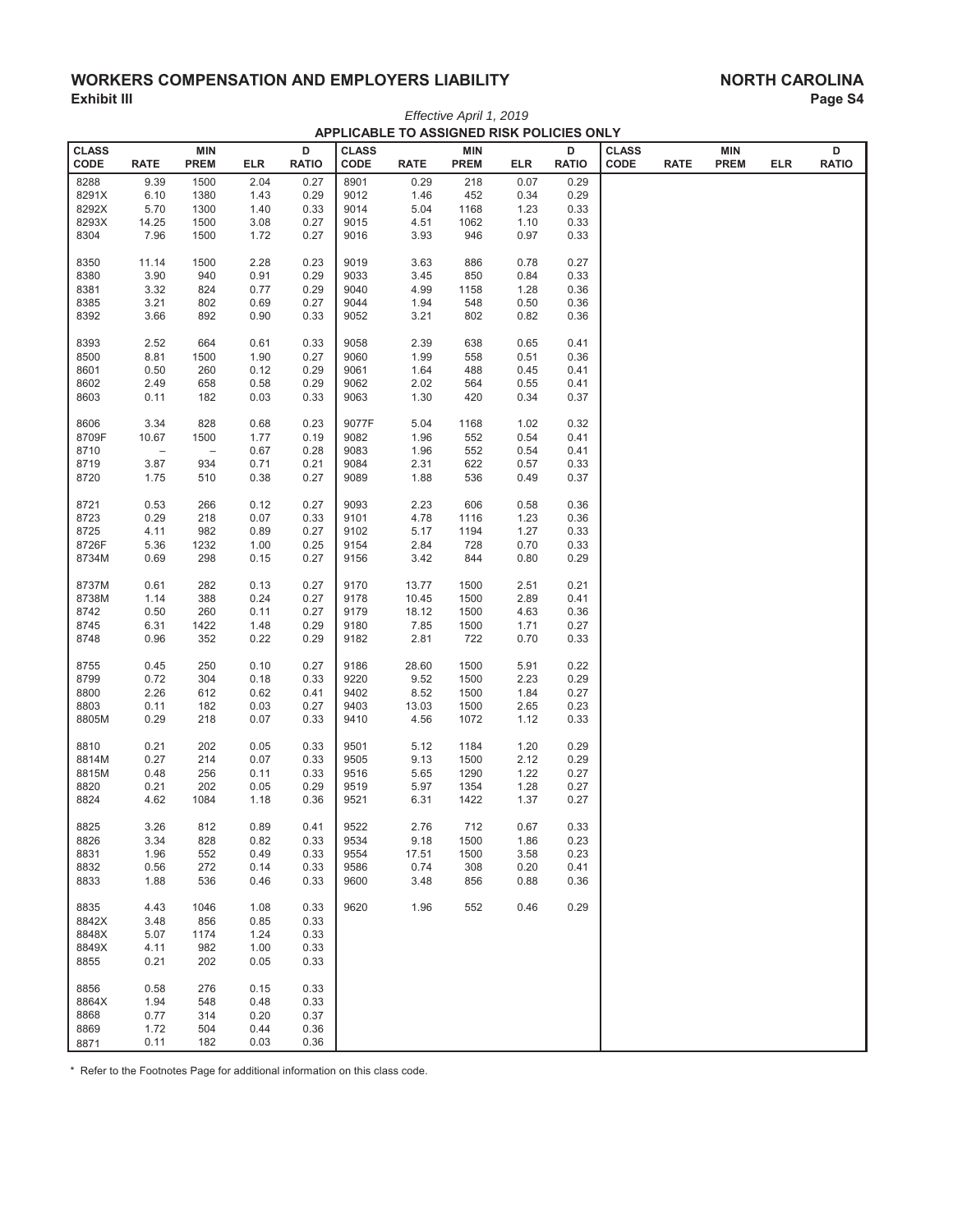## **WORKERS COMPENSATION AND EMPLOYERS LIABILITY Exhibit III**

| Effective April 1, 2019<br>APPLICABLE TO ASSIGNED RISK POLICIES ONLY<br>D<br><b>CLASS</b><br><b>CLASS</b><br>D<br><b>CLASS</b><br>D<br><b>MIN</b><br><b>MIN</b><br><b>MIN</b><br>CODE<br>CODE<br><b>RATIO</b><br>CODE<br><b>RATIO</b><br><b>RATE</b><br><b>PREM</b><br>ELR<br><b>RATIO</b><br><b>RATE</b><br><b>PREM</b><br><b>ELR</b><br><b>RATE</b><br><b>PREM</b><br><b>ELR</b><br>8288<br>9.39<br>1500<br>2.04<br>8901<br>0.29<br>218<br>0.07<br>0.29<br>0.27<br>9012<br>8291X<br>6.10<br>1380<br>0.29<br>1.46<br>452<br>0.34<br>0.29<br>1.43<br>8292X<br>0.33<br>9014<br>5.04<br>5.70<br>1300<br>1.40<br>1168<br>1.23<br>0.33<br>8293X<br>14.25<br>1500<br>3.08<br>0.27<br>9015<br>4.51<br>1.10<br>0.33<br>1062<br>3.93<br>0.97<br>8304<br>7.96<br>1500<br>1.72<br>0.27<br>9016<br>946<br>0.33<br>11.14<br>1500<br>2.28<br>0.23<br>9019<br>3.63<br>0.78<br>8350<br>886<br>0.27<br>3.90<br>940<br>0.91<br>0.29<br>9033<br>3.45<br>0.84<br>8380<br>850<br>0.33<br>3.32<br>824<br>0.29<br>9040<br>4.99<br>1.28<br>8381<br>0.77<br>1158<br>0.36<br>9044<br>1.94<br>0.50<br>8385<br>3.21<br>802<br>0.69<br>0.27<br>548<br>0.36<br>3.21<br>8392<br>3.66<br>892<br>0.90<br>0.33<br>9052<br>802<br>0.82<br>0.36<br>8393<br>2.52<br>664<br>0.33<br>9058<br>2.39<br>0.65<br>0.61<br>638<br>0.41<br>8500<br>8.81<br>1500<br>1.90<br>0.27<br>9060<br>1.99<br>558<br>0.51<br>0.36<br>1.64<br>8601<br>0.50<br>260<br>0.12<br>0.29<br>9061<br>488<br>0.45<br>0.41<br>658<br>0.29<br>2.02<br>0.55<br>8602<br>2.49<br>0.58<br>9062<br>564<br>0.41<br>0.33<br>1.30<br>0.34<br>8603<br>0.11<br>182<br>0.03<br>9063<br>420<br>0.37<br>3.34<br>828<br>0.23<br>9077F<br>5.04<br>1.02<br>8606<br>0.68<br>1168<br>0.32<br>8709F<br>10.67<br>1500<br>1.77<br>0.19<br>9082<br>1.96<br>552<br>0.54<br>0.41<br>9083<br>8710<br>$\overline{\phantom{0}}$<br>0.67<br>0.28<br>1.96<br>552<br>0.54<br>0.41<br>$\qquad \qquad -$<br>8719<br>3.87<br>934<br>0.71<br>0.21<br>9084<br>2.31<br>622<br>0.57<br>0.33<br>8720<br>1.75<br>510<br>0.38<br>0.27<br>9089<br>1.88<br>536<br>0.49<br>0.37<br>8721<br>0.53<br>266<br>0.12<br>0.27<br>9093<br>2.23<br>606<br>0.58<br>0.36<br>0.29<br>218<br>0.33<br>9101<br>4.78<br>1.23<br>8723<br>0.07<br>1116<br>0.36<br>982<br>9102<br>5.17<br>1.27<br>8725<br>4.11<br>0.89<br>0.27<br>1194<br>0.33<br>8726F<br>2.84<br>0.70<br>5.36<br>1232<br>1.00<br>0.25<br>9154<br>728<br>0.33<br>8734M<br>0.27<br>9156<br>3.42<br>0.80<br>0.69<br>298<br>0.15<br>844<br>0.29<br>0.27<br>9170<br>2.51<br>8737M<br>0.61<br>282<br>0.13<br>13.77<br>1500<br>0.21<br>8738M<br>388<br>2.89<br>1.14<br>0.24<br>0.27<br>9178<br>10.45<br>1500<br>0.41<br>8742<br>0.50<br>0.27<br>9179<br>4.63<br>260<br>0.11<br>18.12<br>0.36<br>1500<br>6.31<br>1422<br>0.29<br>9180<br>7.85<br>8745<br>1.48<br>1500<br>1.71<br>0.27<br>2.81<br>0.70<br>8748<br>0.96<br>352<br>0.22<br>0.29<br>9182<br>722<br>0.33<br>8755<br>0.45<br>250<br>0.10<br>0.27<br>9186<br>28.60<br>5.91<br>0.22<br>1500<br>8799<br>0.72<br>304<br>0.18<br>0.33<br>9220<br>9.52<br>2.23<br>0.29<br>1500<br>8800<br>2.26<br>612<br>0.62<br>0.41<br>9402<br>8.52<br>1500<br>1.84<br>0.27<br>8803<br>0.11<br>182<br>0.03<br>0.27<br>9403<br>13.03<br>2.65<br>1500<br>0.23<br>218<br>4.56<br>8805M<br>0.29<br>0.07<br>0.33<br>9410<br>1072<br>1.12<br>0.33<br>202<br>9501<br>1.20<br>0.29<br>8810<br>0.21<br>0.05<br>0.33<br>5.12<br>1184<br>8814M<br>0.27<br>9505<br>9.13<br>2.12<br>214<br>0.07<br>0.33<br>1500<br>0.29<br>8815M<br>256<br>0.33<br>9516<br>5.65<br>1.22<br>0.48<br>0.11<br>1290<br>0.27<br>8820<br>0.21<br>202<br>0.05<br>0.29<br>9519<br>5.97<br>1354<br>1.28<br>0.27<br>0.36<br>9521<br>8824<br>4.62<br>1084<br>1.18<br>6.31<br>1422<br>1.37<br>0.27<br>8825<br>3.26<br>812<br>0.89<br>0.41<br>9522<br>2.76<br>712<br>0.67<br>0.33<br>8826<br>3.34<br>828<br>0.33<br>9534<br>9.18<br>1.86<br>0.82<br>1500<br>0.23<br>17.51<br>8831<br>1.96<br>552<br>0.49<br>0.33<br>9554<br>1500<br>3.58<br>0.23<br>0.74<br>8832<br>0.56<br>272<br>0.14<br>0.33<br>9586<br>308<br>0.20<br>0.41<br>8833<br>1.88<br>536<br>0.33<br>9600<br>3.48<br>0.88<br>0.46<br>856<br>0.36<br>4.43<br>0.33<br>9620<br>1.96<br>552<br>0.46<br>0.29<br>8835<br>1046<br>1.08<br>8842X<br>3.48<br>856<br>0.85<br>0.33<br>8848X<br>5.07<br>1174<br>1.24<br>0.33<br>8849X<br>4.11<br>982<br>1.00<br>0.33<br>8855<br>0.21<br>202<br>0.05<br>0.33<br>8856<br>0.58<br>276<br>0.15<br>0.33<br>8864X<br>1.94<br>548<br>0.48<br>0.33<br>8868<br>0.77<br>314<br>0.20<br>0.37<br>8869<br>1.72<br>504<br>0.36<br>0.44<br>182<br>0.36<br>0.11<br>0.03<br>8871 |  |  |  |  |  |  |  | ı uy∪ |
|-------------------------------------------------------------------------------------------------------------------------------------------------------------------------------------------------------------------------------------------------------------------------------------------------------------------------------------------------------------------------------------------------------------------------------------------------------------------------------------------------------------------------------------------------------------------------------------------------------------------------------------------------------------------------------------------------------------------------------------------------------------------------------------------------------------------------------------------------------------------------------------------------------------------------------------------------------------------------------------------------------------------------------------------------------------------------------------------------------------------------------------------------------------------------------------------------------------------------------------------------------------------------------------------------------------------------------------------------------------------------------------------------------------------------------------------------------------------------------------------------------------------------------------------------------------------------------------------------------------------------------------------------------------------------------------------------------------------------------------------------------------------------------------------------------------------------------------------------------------------------------------------------------------------------------------------------------------------------------------------------------------------------------------------------------------------------------------------------------------------------------------------------------------------------------------------------------------------------------------------------------------------------------------------------------------------------------------------------------------------------------------------------------------------------------------------------------------------------------------------------------------------------------------------------------------------------------------------------------------------------------------------------------------------------------------------------------------------------------------------------------------------------------------------------------------------------------------------------------------------------------------------------------------------------------------------------------------------------------------------------------------------------------------------------------------------------------------------------------------------------------------------------------------------------------------------------------------------------------------------------------------------------------------------------------------------------------------------------------------------------------------------------------------------------------------------------------------------------------------------------------------------------------------------------------------------------------------------------------------------------------------------------------------------------------------------------------------------------------------------------------------------------------------------------------------------------------------------------------------------------------------------------------------------------------------------------------------------------------------------------------------------------------------------------------------------------------------------------------------------------------------------------------------------------------------------------------------------------------------------------------------------------------------------------------------------------------------------------------------------------------------------------------------------------------------------------------------------------------------------------------------------------------------------------------------------------------------|--|--|--|--|--|--|--|-------|
|                                                                                                                                                                                                                                                                                                                                                                                                                                                                                                                                                                                                                                                                                                                                                                                                                                                                                                                                                                                                                                                                                                                                                                                                                                                                                                                                                                                                                                                                                                                                                                                                                                                                                                                                                                                                                                                                                                                                                                                                                                                                                                                                                                                                                                                                                                                                                                                                                                                                                                                                                                                                                                                                                                                                                                                                                                                                                                                                                                                                                                                                                                                                                                                                                                                                                                                                                                                                                                                                                                                                                                                                                                                                                                                                                                                                                                                                                                                                                                                                                                                                                                                                                                                                                                                                                                                                                                                                                                                                                                                                                                                     |  |  |  |  |  |  |  |       |
|                                                                                                                                                                                                                                                                                                                                                                                                                                                                                                                                                                                                                                                                                                                                                                                                                                                                                                                                                                                                                                                                                                                                                                                                                                                                                                                                                                                                                                                                                                                                                                                                                                                                                                                                                                                                                                                                                                                                                                                                                                                                                                                                                                                                                                                                                                                                                                                                                                                                                                                                                                                                                                                                                                                                                                                                                                                                                                                                                                                                                                                                                                                                                                                                                                                                                                                                                                                                                                                                                                                                                                                                                                                                                                                                                                                                                                                                                                                                                                                                                                                                                                                                                                                                                                                                                                                                                                                                                                                                                                                                                                                     |  |  |  |  |  |  |  |       |
|                                                                                                                                                                                                                                                                                                                                                                                                                                                                                                                                                                                                                                                                                                                                                                                                                                                                                                                                                                                                                                                                                                                                                                                                                                                                                                                                                                                                                                                                                                                                                                                                                                                                                                                                                                                                                                                                                                                                                                                                                                                                                                                                                                                                                                                                                                                                                                                                                                                                                                                                                                                                                                                                                                                                                                                                                                                                                                                                                                                                                                                                                                                                                                                                                                                                                                                                                                                                                                                                                                                                                                                                                                                                                                                                                                                                                                                                                                                                                                                                                                                                                                                                                                                                                                                                                                                                                                                                                                                                                                                                                                                     |  |  |  |  |  |  |  |       |
|                                                                                                                                                                                                                                                                                                                                                                                                                                                                                                                                                                                                                                                                                                                                                                                                                                                                                                                                                                                                                                                                                                                                                                                                                                                                                                                                                                                                                                                                                                                                                                                                                                                                                                                                                                                                                                                                                                                                                                                                                                                                                                                                                                                                                                                                                                                                                                                                                                                                                                                                                                                                                                                                                                                                                                                                                                                                                                                                                                                                                                                                                                                                                                                                                                                                                                                                                                                                                                                                                                                                                                                                                                                                                                                                                                                                                                                                                                                                                                                                                                                                                                                                                                                                                                                                                                                                                                                                                                                                                                                                                                                     |  |  |  |  |  |  |  |       |
|                                                                                                                                                                                                                                                                                                                                                                                                                                                                                                                                                                                                                                                                                                                                                                                                                                                                                                                                                                                                                                                                                                                                                                                                                                                                                                                                                                                                                                                                                                                                                                                                                                                                                                                                                                                                                                                                                                                                                                                                                                                                                                                                                                                                                                                                                                                                                                                                                                                                                                                                                                                                                                                                                                                                                                                                                                                                                                                                                                                                                                                                                                                                                                                                                                                                                                                                                                                                                                                                                                                                                                                                                                                                                                                                                                                                                                                                                                                                                                                                                                                                                                                                                                                                                                                                                                                                                                                                                                                                                                                                                                                     |  |  |  |  |  |  |  |       |
|                                                                                                                                                                                                                                                                                                                                                                                                                                                                                                                                                                                                                                                                                                                                                                                                                                                                                                                                                                                                                                                                                                                                                                                                                                                                                                                                                                                                                                                                                                                                                                                                                                                                                                                                                                                                                                                                                                                                                                                                                                                                                                                                                                                                                                                                                                                                                                                                                                                                                                                                                                                                                                                                                                                                                                                                                                                                                                                                                                                                                                                                                                                                                                                                                                                                                                                                                                                                                                                                                                                                                                                                                                                                                                                                                                                                                                                                                                                                                                                                                                                                                                                                                                                                                                                                                                                                                                                                                                                                                                                                                                                     |  |  |  |  |  |  |  |       |
|                                                                                                                                                                                                                                                                                                                                                                                                                                                                                                                                                                                                                                                                                                                                                                                                                                                                                                                                                                                                                                                                                                                                                                                                                                                                                                                                                                                                                                                                                                                                                                                                                                                                                                                                                                                                                                                                                                                                                                                                                                                                                                                                                                                                                                                                                                                                                                                                                                                                                                                                                                                                                                                                                                                                                                                                                                                                                                                                                                                                                                                                                                                                                                                                                                                                                                                                                                                                                                                                                                                                                                                                                                                                                                                                                                                                                                                                                                                                                                                                                                                                                                                                                                                                                                                                                                                                                                                                                                                                                                                                                                                     |  |  |  |  |  |  |  |       |
|                                                                                                                                                                                                                                                                                                                                                                                                                                                                                                                                                                                                                                                                                                                                                                                                                                                                                                                                                                                                                                                                                                                                                                                                                                                                                                                                                                                                                                                                                                                                                                                                                                                                                                                                                                                                                                                                                                                                                                                                                                                                                                                                                                                                                                                                                                                                                                                                                                                                                                                                                                                                                                                                                                                                                                                                                                                                                                                                                                                                                                                                                                                                                                                                                                                                                                                                                                                                                                                                                                                                                                                                                                                                                                                                                                                                                                                                                                                                                                                                                                                                                                                                                                                                                                                                                                                                                                                                                                                                                                                                                                                     |  |  |  |  |  |  |  |       |
|                                                                                                                                                                                                                                                                                                                                                                                                                                                                                                                                                                                                                                                                                                                                                                                                                                                                                                                                                                                                                                                                                                                                                                                                                                                                                                                                                                                                                                                                                                                                                                                                                                                                                                                                                                                                                                                                                                                                                                                                                                                                                                                                                                                                                                                                                                                                                                                                                                                                                                                                                                                                                                                                                                                                                                                                                                                                                                                                                                                                                                                                                                                                                                                                                                                                                                                                                                                                                                                                                                                                                                                                                                                                                                                                                                                                                                                                                                                                                                                                                                                                                                                                                                                                                                                                                                                                                                                                                                                                                                                                                                                     |  |  |  |  |  |  |  |       |
|                                                                                                                                                                                                                                                                                                                                                                                                                                                                                                                                                                                                                                                                                                                                                                                                                                                                                                                                                                                                                                                                                                                                                                                                                                                                                                                                                                                                                                                                                                                                                                                                                                                                                                                                                                                                                                                                                                                                                                                                                                                                                                                                                                                                                                                                                                                                                                                                                                                                                                                                                                                                                                                                                                                                                                                                                                                                                                                                                                                                                                                                                                                                                                                                                                                                                                                                                                                                                                                                                                                                                                                                                                                                                                                                                                                                                                                                                                                                                                                                                                                                                                                                                                                                                                                                                                                                                                                                                                                                                                                                                                                     |  |  |  |  |  |  |  |       |
|                                                                                                                                                                                                                                                                                                                                                                                                                                                                                                                                                                                                                                                                                                                                                                                                                                                                                                                                                                                                                                                                                                                                                                                                                                                                                                                                                                                                                                                                                                                                                                                                                                                                                                                                                                                                                                                                                                                                                                                                                                                                                                                                                                                                                                                                                                                                                                                                                                                                                                                                                                                                                                                                                                                                                                                                                                                                                                                                                                                                                                                                                                                                                                                                                                                                                                                                                                                                                                                                                                                                                                                                                                                                                                                                                                                                                                                                                                                                                                                                                                                                                                                                                                                                                                                                                                                                                                                                                                                                                                                                                                                     |  |  |  |  |  |  |  |       |
|                                                                                                                                                                                                                                                                                                                                                                                                                                                                                                                                                                                                                                                                                                                                                                                                                                                                                                                                                                                                                                                                                                                                                                                                                                                                                                                                                                                                                                                                                                                                                                                                                                                                                                                                                                                                                                                                                                                                                                                                                                                                                                                                                                                                                                                                                                                                                                                                                                                                                                                                                                                                                                                                                                                                                                                                                                                                                                                                                                                                                                                                                                                                                                                                                                                                                                                                                                                                                                                                                                                                                                                                                                                                                                                                                                                                                                                                                                                                                                                                                                                                                                                                                                                                                                                                                                                                                                                                                                                                                                                                                                                     |  |  |  |  |  |  |  |       |
|                                                                                                                                                                                                                                                                                                                                                                                                                                                                                                                                                                                                                                                                                                                                                                                                                                                                                                                                                                                                                                                                                                                                                                                                                                                                                                                                                                                                                                                                                                                                                                                                                                                                                                                                                                                                                                                                                                                                                                                                                                                                                                                                                                                                                                                                                                                                                                                                                                                                                                                                                                                                                                                                                                                                                                                                                                                                                                                                                                                                                                                                                                                                                                                                                                                                                                                                                                                                                                                                                                                                                                                                                                                                                                                                                                                                                                                                                                                                                                                                                                                                                                                                                                                                                                                                                                                                                                                                                                                                                                                                                                                     |  |  |  |  |  |  |  |       |
|                                                                                                                                                                                                                                                                                                                                                                                                                                                                                                                                                                                                                                                                                                                                                                                                                                                                                                                                                                                                                                                                                                                                                                                                                                                                                                                                                                                                                                                                                                                                                                                                                                                                                                                                                                                                                                                                                                                                                                                                                                                                                                                                                                                                                                                                                                                                                                                                                                                                                                                                                                                                                                                                                                                                                                                                                                                                                                                                                                                                                                                                                                                                                                                                                                                                                                                                                                                                                                                                                                                                                                                                                                                                                                                                                                                                                                                                                                                                                                                                                                                                                                                                                                                                                                                                                                                                                                                                                                                                                                                                                                                     |  |  |  |  |  |  |  |       |
|                                                                                                                                                                                                                                                                                                                                                                                                                                                                                                                                                                                                                                                                                                                                                                                                                                                                                                                                                                                                                                                                                                                                                                                                                                                                                                                                                                                                                                                                                                                                                                                                                                                                                                                                                                                                                                                                                                                                                                                                                                                                                                                                                                                                                                                                                                                                                                                                                                                                                                                                                                                                                                                                                                                                                                                                                                                                                                                                                                                                                                                                                                                                                                                                                                                                                                                                                                                                                                                                                                                                                                                                                                                                                                                                                                                                                                                                                                                                                                                                                                                                                                                                                                                                                                                                                                                                                                                                                                                                                                                                                                                     |  |  |  |  |  |  |  |       |
|                                                                                                                                                                                                                                                                                                                                                                                                                                                                                                                                                                                                                                                                                                                                                                                                                                                                                                                                                                                                                                                                                                                                                                                                                                                                                                                                                                                                                                                                                                                                                                                                                                                                                                                                                                                                                                                                                                                                                                                                                                                                                                                                                                                                                                                                                                                                                                                                                                                                                                                                                                                                                                                                                                                                                                                                                                                                                                                                                                                                                                                                                                                                                                                                                                                                                                                                                                                                                                                                                                                                                                                                                                                                                                                                                                                                                                                                                                                                                                                                                                                                                                                                                                                                                                                                                                                                                                                                                                                                                                                                                                                     |  |  |  |  |  |  |  |       |
|                                                                                                                                                                                                                                                                                                                                                                                                                                                                                                                                                                                                                                                                                                                                                                                                                                                                                                                                                                                                                                                                                                                                                                                                                                                                                                                                                                                                                                                                                                                                                                                                                                                                                                                                                                                                                                                                                                                                                                                                                                                                                                                                                                                                                                                                                                                                                                                                                                                                                                                                                                                                                                                                                                                                                                                                                                                                                                                                                                                                                                                                                                                                                                                                                                                                                                                                                                                                                                                                                                                                                                                                                                                                                                                                                                                                                                                                                                                                                                                                                                                                                                                                                                                                                                                                                                                                                                                                                                                                                                                                                                                     |  |  |  |  |  |  |  |       |
|                                                                                                                                                                                                                                                                                                                                                                                                                                                                                                                                                                                                                                                                                                                                                                                                                                                                                                                                                                                                                                                                                                                                                                                                                                                                                                                                                                                                                                                                                                                                                                                                                                                                                                                                                                                                                                                                                                                                                                                                                                                                                                                                                                                                                                                                                                                                                                                                                                                                                                                                                                                                                                                                                                                                                                                                                                                                                                                                                                                                                                                                                                                                                                                                                                                                                                                                                                                                                                                                                                                                                                                                                                                                                                                                                                                                                                                                                                                                                                                                                                                                                                                                                                                                                                                                                                                                                                                                                                                                                                                                                                                     |  |  |  |  |  |  |  |       |
|                                                                                                                                                                                                                                                                                                                                                                                                                                                                                                                                                                                                                                                                                                                                                                                                                                                                                                                                                                                                                                                                                                                                                                                                                                                                                                                                                                                                                                                                                                                                                                                                                                                                                                                                                                                                                                                                                                                                                                                                                                                                                                                                                                                                                                                                                                                                                                                                                                                                                                                                                                                                                                                                                                                                                                                                                                                                                                                                                                                                                                                                                                                                                                                                                                                                                                                                                                                                                                                                                                                                                                                                                                                                                                                                                                                                                                                                                                                                                                                                                                                                                                                                                                                                                                                                                                                                                                                                                                                                                                                                                                                     |  |  |  |  |  |  |  |       |
|                                                                                                                                                                                                                                                                                                                                                                                                                                                                                                                                                                                                                                                                                                                                                                                                                                                                                                                                                                                                                                                                                                                                                                                                                                                                                                                                                                                                                                                                                                                                                                                                                                                                                                                                                                                                                                                                                                                                                                                                                                                                                                                                                                                                                                                                                                                                                                                                                                                                                                                                                                                                                                                                                                                                                                                                                                                                                                                                                                                                                                                                                                                                                                                                                                                                                                                                                                                                                                                                                                                                                                                                                                                                                                                                                                                                                                                                                                                                                                                                                                                                                                                                                                                                                                                                                                                                                                                                                                                                                                                                                                                     |  |  |  |  |  |  |  |       |
|                                                                                                                                                                                                                                                                                                                                                                                                                                                                                                                                                                                                                                                                                                                                                                                                                                                                                                                                                                                                                                                                                                                                                                                                                                                                                                                                                                                                                                                                                                                                                                                                                                                                                                                                                                                                                                                                                                                                                                                                                                                                                                                                                                                                                                                                                                                                                                                                                                                                                                                                                                                                                                                                                                                                                                                                                                                                                                                                                                                                                                                                                                                                                                                                                                                                                                                                                                                                                                                                                                                                                                                                                                                                                                                                                                                                                                                                                                                                                                                                                                                                                                                                                                                                                                                                                                                                                                                                                                                                                                                                                                                     |  |  |  |  |  |  |  |       |
|                                                                                                                                                                                                                                                                                                                                                                                                                                                                                                                                                                                                                                                                                                                                                                                                                                                                                                                                                                                                                                                                                                                                                                                                                                                                                                                                                                                                                                                                                                                                                                                                                                                                                                                                                                                                                                                                                                                                                                                                                                                                                                                                                                                                                                                                                                                                                                                                                                                                                                                                                                                                                                                                                                                                                                                                                                                                                                                                                                                                                                                                                                                                                                                                                                                                                                                                                                                                                                                                                                                                                                                                                                                                                                                                                                                                                                                                                                                                                                                                                                                                                                                                                                                                                                                                                                                                                                                                                                                                                                                                                                                     |  |  |  |  |  |  |  |       |
|                                                                                                                                                                                                                                                                                                                                                                                                                                                                                                                                                                                                                                                                                                                                                                                                                                                                                                                                                                                                                                                                                                                                                                                                                                                                                                                                                                                                                                                                                                                                                                                                                                                                                                                                                                                                                                                                                                                                                                                                                                                                                                                                                                                                                                                                                                                                                                                                                                                                                                                                                                                                                                                                                                                                                                                                                                                                                                                                                                                                                                                                                                                                                                                                                                                                                                                                                                                                                                                                                                                                                                                                                                                                                                                                                                                                                                                                                                                                                                                                                                                                                                                                                                                                                                                                                                                                                                                                                                                                                                                                                                                     |  |  |  |  |  |  |  |       |
|                                                                                                                                                                                                                                                                                                                                                                                                                                                                                                                                                                                                                                                                                                                                                                                                                                                                                                                                                                                                                                                                                                                                                                                                                                                                                                                                                                                                                                                                                                                                                                                                                                                                                                                                                                                                                                                                                                                                                                                                                                                                                                                                                                                                                                                                                                                                                                                                                                                                                                                                                                                                                                                                                                                                                                                                                                                                                                                                                                                                                                                                                                                                                                                                                                                                                                                                                                                                                                                                                                                                                                                                                                                                                                                                                                                                                                                                                                                                                                                                                                                                                                                                                                                                                                                                                                                                                                                                                                                                                                                                                                                     |  |  |  |  |  |  |  |       |
|                                                                                                                                                                                                                                                                                                                                                                                                                                                                                                                                                                                                                                                                                                                                                                                                                                                                                                                                                                                                                                                                                                                                                                                                                                                                                                                                                                                                                                                                                                                                                                                                                                                                                                                                                                                                                                                                                                                                                                                                                                                                                                                                                                                                                                                                                                                                                                                                                                                                                                                                                                                                                                                                                                                                                                                                                                                                                                                                                                                                                                                                                                                                                                                                                                                                                                                                                                                                                                                                                                                                                                                                                                                                                                                                                                                                                                                                                                                                                                                                                                                                                                                                                                                                                                                                                                                                                                                                                                                                                                                                                                                     |  |  |  |  |  |  |  |       |
|                                                                                                                                                                                                                                                                                                                                                                                                                                                                                                                                                                                                                                                                                                                                                                                                                                                                                                                                                                                                                                                                                                                                                                                                                                                                                                                                                                                                                                                                                                                                                                                                                                                                                                                                                                                                                                                                                                                                                                                                                                                                                                                                                                                                                                                                                                                                                                                                                                                                                                                                                                                                                                                                                                                                                                                                                                                                                                                                                                                                                                                                                                                                                                                                                                                                                                                                                                                                                                                                                                                                                                                                                                                                                                                                                                                                                                                                                                                                                                                                                                                                                                                                                                                                                                                                                                                                                                                                                                                                                                                                                                                     |  |  |  |  |  |  |  |       |
|                                                                                                                                                                                                                                                                                                                                                                                                                                                                                                                                                                                                                                                                                                                                                                                                                                                                                                                                                                                                                                                                                                                                                                                                                                                                                                                                                                                                                                                                                                                                                                                                                                                                                                                                                                                                                                                                                                                                                                                                                                                                                                                                                                                                                                                                                                                                                                                                                                                                                                                                                                                                                                                                                                                                                                                                                                                                                                                                                                                                                                                                                                                                                                                                                                                                                                                                                                                                                                                                                                                                                                                                                                                                                                                                                                                                                                                                                                                                                                                                                                                                                                                                                                                                                                                                                                                                                                                                                                                                                                                                                                                     |  |  |  |  |  |  |  |       |
|                                                                                                                                                                                                                                                                                                                                                                                                                                                                                                                                                                                                                                                                                                                                                                                                                                                                                                                                                                                                                                                                                                                                                                                                                                                                                                                                                                                                                                                                                                                                                                                                                                                                                                                                                                                                                                                                                                                                                                                                                                                                                                                                                                                                                                                                                                                                                                                                                                                                                                                                                                                                                                                                                                                                                                                                                                                                                                                                                                                                                                                                                                                                                                                                                                                                                                                                                                                                                                                                                                                                                                                                                                                                                                                                                                                                                                                                                                                                                                                                                                                                                                                                                                                                                                                                                                                                                                                                                                                                                                                                                                                     |  |  |  |  |  |  |  |       |
|                                                                                                                                                                                                                                                                                                                                                                                                                                                                                                                                                                                                                                                                                                                                                                                                                                                                                                                                                                                                                                                                                                                                                                                                                                                                                                                                                                                                                                                                                                                                                                                                                                                                                                                                                                                                                                                                                                                                                                                                                                                                                                                                                                                                                                                                                                                                                                                                                                                                                                                                                                                                                                                                                                                                                                                                                                                                                                                                                                                                                                                                                                                                                                                                                                                                                                                                                                                                                                                                                                                                                                                                                                                                                                                                                                                                                                                                                                                                                                                                                                                                                                                                                                                                                                                                                                                                                                                                                                                                                                                                                                                     |  |  |  |  |  |  |  |       |
|                                                                                                                                                                                                                                                                                                                                                                                                                                                                                                                                                                                                                                                                                                                                                                                                                                                                                                                                                                                                                                                                                                                                                                                                                                                                                                                                                                                                                                                                                                                                                                                                                                                                                                                                                                                                                                                                                                                                                                                                                                                                                                                                                                                                                                                                                                                                                                                                                                                                                                                                                                                                                                                                                                                                                                                                                                                                                                                                                                                                                                                                                                                                                                                                                                                                                                                                                                                                                                                                                                                                                                                                                                                                                                                                                                                                                                                                                                                                                                                                                                                                                                                                                                                                                                                                                                                                                                                                                                                                                                                                                                                     |  |  |  |  |  |  |  |       |
|                                                                                                                                                                                                                                                                                                                                                                                                                                                                                                                                                                                                                                                                                                                                                                                                                                                                                                                                                                                                                                                                                                                                                                                                                                                                                                                                                                                                                                                                                                                                                                                                                                                                                                                                                                                                                                                                                                                                                                                                                                                                                                                                                                                                                                                                                                                                                                                                                                                                                                                                                                                                                                                                                                                                                                                                                                                                                                                                                                                                                                                                                                                                                                                                                                                                                                                                                                                                                                                                                                                                                                                                                                                                                                                                                                                                                                                                                                                                                                                                                                                                                                                                                                                                                                                                                                                                                                                                                                                                                                                                                                                     |  |  |  |  |  |  |  |       |
|                                                                                                                                                                                                                                                                                                                                                                                                                                                                                                                                                                                                                                                                                                                                                                                                                                                                                                                                                                                                                                                                                                                                                                                                                                                                                                                                                                                                                                                                                                                                                                                                                                                                                                                                                                                                                                                                                                                                                                                                                                                                                                                                                                                                                                                                                                                                                                                                                                                                                                                                                                                                                                                                                                                                                                                                                                                                                                                                                                                                                                                                                                                                                                                                                                                                                                                                                                                                                                                                                                                                                                                                                                                                                                                                                                                                                                                                                                                                                                                                                                                                                                                                                                                                                                                                                                                                                                                                                                                                                                                                                                                     |  |  |  |  |  |  |  |       |
|                                                                                                                                                                                                                                                                                                                                                                                                                                                                                                                                                                                                                                                                                                                                                                                                                                                                                                                                                                                                                                                                                                                                                                                                                                                                                                                                                                                                                                                                                                                                                                                                                                                                                                                                                                                                                                                                                                                                                                                                                                                                                                                                                                                                                                                                                                                                                                                                                                                                                                                                                                                                                                                                                                                                                                                                                                                                                                                                                                                                                                                                                                                                                                                                                                                                                                                                                                                                                                                                                                                                                                                                                                                                                                                                                                                                                                                                                                                                                                                                                                                                                                                                                                                                                                                                                                                                                                                                                                                                                                                                                                                     |  |  |  |  |  |  |  |       |
|                                                                                                                                                                                                                                                                                                                                                                                                                                                                                                                                                                                                                                                                                                                                                                                                                                                                                                                                                                                                                                                                                                                                                                                                                                                                                                                                                                                                                                                                                                                                                                                                                                                                                                                                                                                                                                                                                                                                                                                                                                                                                                                                                                                                                                                                                                                                                                                                                                                                                                                                                                                                                                                                                                                                                                                                                                                                                                                                                                                                                                                                                                                                                                                                                                                                                                                                                                                                                                                                                                                                                                                                                                                                                                                                                                                                                                                                                                                                                                                                                                                                                                                                                                                                                                                                                                                                                                                                                                                                                                                                                                                     |  |  |  |  |  |  |  |       |
|                                                                                                                                                                                                                                                                                                                                                                                                                                                                                                                                                                                                                                                                                                                                                                                                                                                                                                                                                                                                                                                                                                                                                                                                                                                                                                                                                                                                                                                                                                                                                                                                                                                                                                                                                                                                                                                                                                                                                                                                                                                                                                                                                                                                                                                                                                                                                                                                                                                                                                                                                                                                                                                                                                                                                                                                                                                                                                                                                                                                                                                                                                                                                                                                                                                                                                                                                                                                                                                                                                                                                                                                                                                                                                                                                                                                                                                                                                                                                                                                                                                                                                                                                                                                                                                                                                                                                                                                                                                                                                                                                                                     |  |  |  |  |  |  |  |       |
|                                                                                                                                                                                                                                                                                                                                                                                                                                                                                                                                                                                                                                                                                                                                                                                                                                                                                                                                                                                                                                                                                                                                                                                                                                                                                                                                                                                                                                                                                                                                                                                                                                                                                                                                                                                                                                                                                                                                                                                                                                                                                                                                                                                                                                                                                                                                                                                                                                                                                                                                                                                                                                                                                                                                                                                                                                                                                                                                                                                                                                                                                                                                                                                                                                                                                                                                                                                                                                                                                                                                                                                                                                                                                                                                                                                                                                                                                                                                                                                                                                                                                                                                                                                                                                                                                                                                                                                                                                                                                                                                                                                     |  |  |  |  |  |  |  |       |
|                                                                                                                                                                                                                                                                                                                                                                                                                                                                                                                                                                                                                                                                                                                                                                                                                                                                                                                                                                                                                                                                                                                                                                                                                                                                                                                                                                                                                                                                                                                                                                                                                                                                                                                                                                                                                                                                                                                                                                                                                                                                                                                                                                                                                                                                                                                                                                                                                                                                                                                                                                                                                                                                                                                                                                                                                                                                                                                                                                                                                                                                                                                                                                                                                                                                                                                                                                                                                                                                                                                                                                                                                                                                                                                                                                                                                                                                                                                                                                                                                                                                                                                                                                                                                                                                                                                                                                                                                                                                                                                                                                                     |  |  |  |  |  |  |  |       |
|                                                                                                                                                                                                                                                                                                                                                                                                                                                                                                                                                                                                                                                                                                                                                                                                                                                                                                                                                                                                                                                                                                                                                                                                                                                                                                                                                                                                                                                                                                                                                                                                                                                                                                                                                                                                                                                                                                                                                                                                                                                                                                                                                                                                                                                                                                                                                                                                                                                                                                                                                                                                                                                                                                                                                                                                                                                                                                                                                                                                                                                                                                                                                                                                                                                                                                                                                                                                                                                                                                                                                                                                                                                                                                                                                                                                                                                                                                                                                                                                                                                                                                                                                                                                                                                                                                                                                                                                                                                                                                                                                                                     |  |  |  |  |  |  |  |       |
|                                                                                                                                                                                                                                                                                                                                                                                                                                                                                                                                                                                                                                                                                                                                                                                                                                                                                                                                                                                                                                                                                                                                                                                                                                                                                                                                                                                                                                                                                                                                                                                                                                                                                                                                                                                                                                                                                                                                                                                                                                                                                                                                                                                                                                                                                                                                                                                                                                                                                                                                                                                                                                                                                                                                                                                                                                                                                                                                                                                                                                                                                                                                                                                                                                                                                                                                                                                                                                                                                                                                                                                                                                                                                                                                                                                                                                                                                                                                                                                                                                                                                                                                                                                                                                                                                                                                                                                                                                                                                                                                                                                     |  |  |  |  |  |  |  |       |
|                                                                                                                                                                                                                                                                                                                                                                                                                                                                                                                                                                                                                                                                                                                                                                                                                                                                                                                                                                                                                                                                                                                                                                                                                                                                                                                                                                                                                                                                                                                                                                                                                                                                                                                                                                                                                                                                                                                                                                                                                                                                                                                                                                                                                                                                                                                                                                                                                                                                                                                                                                                                                                                                                                                                                                                                                                                                                                                                                                                                                                                                                                                                                                                                                                                                                                                                                                                                                                                                                                                                                                                                                                                                                                                                                                                                                                                                                                                                                                                                                                                                                                                                                                                                                                                                                                                                                                                                                                                                                                                                                                                     |  |  |  |  |  |  |  |       |
|                                                                                                                                                                                                                                                                                                                                                                                                                                                                                                                                                                                                                                                                                                                                                                                                                                                                                                                                                                                                                                                                                                                                                                                                                                                                                                                                                                                                                                                                                                                                                                                                                                                                                                                                                                                                                                                                                                                                                                                                                                                                                                                                                                                                                                                                                                                                                                                                                                                                                                                                                                                                                                                                                                                                                                                                                                                                                                                                                                                                                                                                                                                                                                                                                                                                                                                                                                                                                                                                                                                                                                                                                                                                                                                                                                                                                                                                                                                                                                                                                                                                                                                                                                                                                                                                                                                                                                                                                                                                                                                                                                                     |  |  |  |  |  |  |  |       |
|                                                                                                                                                                                                                                                                                                                                                                                                                                                                                                                                                                                                                                                                                                                                                                                                                                                                                                                                                                                                                                                                                                                                                                                                                                                                                                                                                                                                                                                                                                                                                                                                                                                                                                                                                                                                                                                                                                                                                                                                                                                                                                                                                                                                                                                                                                                                                                                                                                                                                                                                                                                                                                                                                                                                                                                                                                                                                                                                                                                                                                                                                                                                                                                                                                                                                                                                                                                                                                                                                                                                                                                                                                                                                                                                                                                                                                                                                                                                                                                                                                                                                                                                                                                                                                                                                                                                                                                                                                                                                                                                                                                     |  |  |  |  |  |  |  |       |
|                                                                                                                                                                                                                                                                                                                                                                                                                                                                                                                                                                                                                                                                                                                                                                                                                                                                                                                                                                                                                                                                                                                                                                                                                                                                                                                                                                                                                                                                                                                                                                                                                                                                                                                                                                                                                                                                                                                                                                                                                                                                                                                                                                                                                                                                                                                                                                                                                                                                                                                                                                                                                                                                                                                                                                                                                                                                                                                                                                                                                                                                                                                                                                                                                                                                                                                                                                                                                                                                                                                                                                                                                                                                                                                                                                                                                                                                                                                                                                                                                                                                                                                                                                                                                                                                                                                                                                                                                                                                                                                                                                                     |  |  |  |  |  |  |  |       |
|                                                                                                                                                                                                                                                                                                                                                                                                                                                                                                                                                                                                                                                                                                                                                                                                                                                                                                                                                                                                                                                                                                                                                                                                                                                                                                                                                                                                                                                                                                                                                                                                                                                                                                                                                                                                                                                                                                                                                                                                                                                                                                                                                                                                                                                                                                                                                                                                                                                                                                                                                                                                                                                                                                                                                                                                                                                                                                                                                                                                                                                                                                                                                                                                                                                                                                                                                                                                                                                                                                                                                                                                                                                                                                                                                                                                                                                                                                                                                                                                                                                                                                                                                                                                                                                                                                                                                                                                                                                                                                                                                                                     |  |  |  |  |  |  |  |       |
|                                                                                                                                                                                                                                                                                                                                                                                                                                                                                                                                                                                                                                                                                                                                                                                                                                                                                                                                                                                                                                                                                                                                                                                                                                                                                                                                                                                                                                                                                                                                                                                                                                                                                                                                                                                                                                                                                                                                                                                                                                                                                                                                                                                                                                                                                                                                                                                                                                                                                                                                                                                                                                                                                                                                                                                                                                                                                                                                                                                                                                                                                                                                                                                                                                                                                                                                                                                                                                                                                                                                                                                                                                                                                                                                                                                                                                                                                                                                                                                                                                                                                                                                                                                                                                                                                                                                                                                                                                                                                                                                                                                     |  |  |  |  |  |  |  |       |
|                                                                                                                                                                                                                                                                                                                                                                                                                                                                                                                                                                                                                                                                                                                                                                                                                                                                                                                                                                                                                                                                                                                                                                                                                                                                                                                                                                                                                                                                                                                                                                                                                                                                                                                                                                                                                                                                                                                                                                                                                                                                                                                                                                                                                                                                                                                                                                                                                                                                                                                                                                                                                                                                                                                                                                                                                                                                                                                                                                                                                                                                                                                                                                                                                                                                                                                                                                                                                                                                                                                                                                                                                                                                                                                                                                                                                                                                                                                                                                                                                                                                                                                                                                                                                                                                                                                                                                                                                                                                                                                                                                                     |  |  |  |  |  |  |  |       |
|                                                                                                                                                                                                                                                                                                                                                                                                                                                                                                                                                                                                                                                                                                                                                                                                                                                                                                                                                                                                                                                                                                                                                                                                                                                                                                                                                                                                                                                                                                                                                                                                                                                                                                                                                                                                                                                                                                                                                                                                                                                                                                                                                                                                                                                                                                                                                                                                                                                                                                                                                                                                                                                                                                                                                                                                                                                                                                                                                                                                                                                                                                                                                                                                                                                                                                                                                                                                                                                                                                                                                                                                                                                                                                                                                                                                                                                                                                                                                                                                                                                                                                                                                                                                                                                                                                                                                                                                                                                                                                                                                                                     |  |  |  |  |  |  |  |       |
|                                                                                                                                                                                                                                                                                                                                                                                                                                                                                                                                                                                                                                                                                                                                                                                                                                                                                                                                                                                                                                                                                                                                                                                                                                                                                                                                                                                                                                                                                                                                                                                                                                                                                                                                                                                                                                                                                                                                                                                                                                                                                                                                                                                                                                                                                                                                                                                                                                                                                                                                                                                                                                                                                                                                                                                                                                                                                                                                                                                                                                                                                                                                                                                                                                                                                                                                                                                                                                                                                                                                                                                                                                                                                                                                                                                                                                                                                                                                                                                                                                                                                                                                                                                                                                                                                                                                                                                                                                                                                                                                                                                     |  |  |  |  |  |  |  |       |
|                                                                                                                                                                                                                                                                                                                                                                                                                                                                                                                                                                                                                                                                                                                                                                                                                                                                                                                                                                                                                                                                                                                                                                                                                                                                                                                                                                                                                                                                                                                                                                                                                                                                                                                                                                                                                                                                                                                                                                                                                                                                                                                                                                                                                                                                                                                                                                                                                                                                                                                                                                                                                                                                                                                                                                                                                                                                                                                                                                                                                                                                                                                                                                                                                                                                                                                                                                                                                                                                                                                                                                                                                                                                                                                                                                                                                                                                                                                                                                                                                                                                                                                                                                                                                                                                                                                                                                                                                                                                                                                                                                                     |  |  |  |  |  |  |  |       |
|                                                                                                                                                                                                                                                                                                                                                                                                                                                                                                                                                                                                                                                                                                                                                                                                                                                                                                                                                                                                                                                                                                                                                                                                                                                                                                                                                                                                                                                                                                                                                                                                                                                                                                                                                                                                                                                                                                                                                                                                                                                                                                                                                                                                                                                                                                                                                                                                                                                                                                                                                                                                                                                                                                                                                                                                                                                                                                                                                                                                                                                                                                                                                                                                                                                                                                                                                                                                                                                                                                                                                                                                                                                                                                                                                                                                                                                                                                                                                                                                                                                                                                                                                                                                                                                                                                                                                                                                                                                                                                                                                                                     |  |  |  |  |  |  |  |       |
|                                                                                                                                                                                                                                                                                                                                                                                                                                                                                                                                                                                                                                                                                                                                                                                                                                                                                                                                                                                                                                                                                                                                                                                                                                                                                                                                                                                                                                                                                                                                                                                                                                                                                                                                                                                                                                                                                                                                                                                                                                                                                                                                                                                                                                                                                                                                                                                                                                                                                                                                                                                                                                                                                                                                                                                                                                                                                                                                                                                                                                                                                                                                                                                                                                                                                                                                                                                                                                                                                                                                                                                                                                                                                                                                                                                                                                                                                                                                                                                                                                                                                                                                                                                                                                                                                                                                                                                                                                                                                                                                                                                     |  |  |  |  |  |  |  |       |
|                                                                                                                                                                                                                                                                                                                                                                                                                                                                                                                                                                                                                                                                                                                                                                                                                                                                                                                                                                                                                                                                                                                                                                                                                                                                                                                                                                                                                                                                                                                                                                                                                                                                                                                                                                                                                                                                                                                                                                                                                                                                                                                                                                                                                                                                                                                                                                                                                                                                                                                                                                                                                                                                                                                                                                                                                                                                                                                                                                                                                                                                                                                                                                                                                                                                                                                                                                                                                                                                                                                                                                                                                                                                                                                                                                                                                                                                                                                                                                                                                                                                                                                                                                                                                                                                                                                                                                                                                                                                                                                                                                                     |  |  |  |  |  |  |  |       |
|                                                                                                                                                                                                                                                                                                                                                                                                                                                                                                                                                                                                                                                                                                                                                                                                                                                                                                                                                                                                                                                                                                                                                                                                                                                                                                                                                                                                                                                                                                                                                                                                                                                                                                                                                                                                                                                                                                                                                                                                                                                                                                                                                                                                                                                                                                                                                                                                                                                                                                                                                                                                                                                                                                                                                                                                                                                                                                                                                                                                                                                                                                                                                                                                                                                                                                                                                                                                                                                                                                                                                                                                                                                                                                                                                                                                                                                                                                                                                                                                                                                                                                                                                                                                                                                                                                                                                                                                                                                                                                                                                                                     |  |  |  |  |  |  |  |       |
|                                                                                                                                                                                                                                                                                                                                                                                                                                                                                                                                                                                                                                                                                                                                                                                                                                                                                                                                                                                                                                                                                                                                                                                                                                                                                                                                                                                                                                                                                                                                                                                                                                                                                                                                                                                                                                                                                                                                                                                                                                                                                                                                                                                                                                                                                                                                                                                                                                                                                                                                                                                                                                                                                                                                                                                                                                                                                                                                                                                                                                                                                                                                                                                                                                                                                                                                                                                                                                                                                                                                                                                                                                                                                                                                                                                                                                                                                                                                                                                                                                                                                                                                                                                                                                                                                                                                                                                                                                                                                                                                                                                     |  |  |  |  |  |  |  |       |
|                                                                                                                                                                                                                                                                                                                                                                                                                                                                                                                                                                                                                                                                                                                                                                                                                                                                                                                                                                                                                                                                                                                                                                                                                                                                                                                                                                                                                                                                                                                                                                                                                                                                                                                                                                                                                                                                                                                                                                                                                                                                                                                                                                                                                                                                                                                                                                                                                                                                                                                                                                                                                                                                                                                                                                                                                                                                                                                                                                                                                                                                                                                                                                                                                                                                                                                                                                                                                                                                                                                                                                                                                                                                                                                                                                                                                                                                                                                                                                                                                                                                                                                                                                                                                                                                                                                                                                                                                                                                                                                                                                                     |  |  |  |  |  |  |  |       |
|                                                                                                                                                                                                                                                                                                                                                                                                                                                                                                                                                                                                                                                                                                                                                                                                                                                                                                                                                                                                                                                                                                                                                                                                                                                                                                                                                                                                                                                                                                                                                                                                                                                                                                                                                                                                                                                                                                                                                                                                                                                                                                                                                                                                                                                                                                                                                                                                                                                                                                                                                                                                                                                                                                                                                                                                                                                                                                                                                                                                                                                                                                                                                                                                                                                                                                                                                                                                                                                                                                                                                                                                                                                                                                                                                                                                                                                                                                                                                                                                                                                                                                                                                                                                                                                                                                                                                                                                                                                                                                                                                                                     |  |  |  |  |  |  |  |       |
|                                                                                                                                                                                                                                                                                                                                                                                                                                                                                                                                                                                                                                                                                                                                                                                                                                                                                                                                                                                                                                                                                                                                                                                                                                                                                                                                                                                                                                                                                                                                                                                                                                                                                                                                                                                                                                                                                                                                                                                                                                                                                                                                                                                                                                                                                                                                                                                                                                                                                                                                                                                                                                                                                                                                                                                                                                                                                                                                                                                                                                                                                                                                                                                                                                                                                                                                                                                                                                                                                                                                                                                                                                                                                                                                                                                                                                                                                                                                                                                                                                                                                                                                                                                                                                                                                                                                                                                                                                                                                                                                                                                     |  |  |  |  |  |  |  |       |
|                                                                                                                                                                                                                                                                                                                                                                                                                                                                                                                                                                                                                                                                                                                                                                                                                                                                                                                                                                                                                                                                                                                                                                                                                                                                                                                                                                                                                                                                                                                                                                                                                                                                                                                                                                                                                                                                                                                                                                                                                                                                                                                                                                                                                                                                                                                                                                                                                                                                                                                                                                                                                                                                                                                                                                                                                                                                                                                                                                                                                                                                                                                                                                                                                                                                                                                                                                                                                                                                                                                                                                                                                                                                                                                                                                                                                                                                                                                                                                                                                                                                                                                                                                                                                                                                                                                                                                                                                                                                                                                                                                                     |  |  |  |  |  |  |  |       |
|                                                                                                                                                                                                                                                                                                                                                                                                                                                                                                                                                                                                                                                                                                                                                                                                                                                                                                                                                                                                                                                                                                                                                                                                                                                                                                                                                                                                                                                                                                                                                                                                                                                                                                                                                                                                                                                                                                                                                                                                                                                                                                                                                                                                                                                                                                                                                                                                                                                                                                                                                                                                                                                                                                                                                                                                                                                                                                                                                                                                                                                                                                                                                                                                                                                                                                                                                                                                                                                                                                                                                                                                                                                                                                                                                                                                                                                                                                                                                                                                                                                                                                                                                                                                                                                                                                                                                                                                                                                                                                                                                                                     |  |  |  |  |  |  |  |       |
|                                                                                                                                                                                                                                                                                                                                                                                                                                                                                                                                                                                                                                                                                                                                                                                                                                                                                                                                                                                                                                                                                                                                                                                                                                                                                                                                                                                                                                                                                                                                                                                                                                                                                                                                                                                                                                                                                                                                                                                                                                                                                                                                                                                                                                                                                                                                                                                                                                                                                                                                                                                                                                                                                                                                                                                                                                                                                                                                                                                                                                                                                                                                                                                                                                                                                                                                                                                                                                                                                                                                                                                                                                                                                                                                                                                                                                                                                                                                                                                                                                                                                                                                                                                                                                                                                                                                                                                                                                                                                                                                                                                     |  |  |  |  |  |  |  |       |
|                                                                                                                                                                                                                                                                                                                                                                                                                                                                                                                                                                                                                                                                                                                                                                                                                                                                                                                                                                                                                                                                                                                                                                                                                                                                                                                                                                                                                                                                                                                                                                                                                                                                                                                                                                                                                                                                                                                                                                                                                                                                                                                                                                                                                                                                                                                                                                                                                                                                                                                                                                                                                                                                                                                                                                                                                                                                                                                                                                                                                                                                                                                                                                                                                                                                                                                                                                                                                                                                                                                                                                                                                                                                                                                                                                                                                                                                                                                                                                                                                                                                                                                                                                                                                                                                                                                                                                                                                                                                                                                                                                                     |  |  |  |  |  |  |  |       |
|                                                                                                                                                                                                                                                                                                                                                                                                                                                                                                                                                                                                                                                                                                                                                                                                                                                                                                                                                                                                                                                                                                                                                                                                                                                                                                                                                                                                                                                                                                                                                                                                                                                                                                                                                                                                                                                                                                                                                                                                                                                                                                                                                                                                                                                                                                                                                                                                                                                                                                                                                                                                                                                                                                                                                                                                                                                                                                                                                                                                                                                                                                                                                                                                                                                                                                                                                                                                                                                                                                                                                                                                                                                                                                                                                                                                                                                                                                                                                                                                                                                                                                                                                                                                                                                                                                                                                                                                                                                                                                                                                                                     |  |  |  |  |  |  |  |       |
|                                                                                                                                                                                                                                                                                                                                                                                                                                                                                                                                                                                                                                                                                                                                                                                                                                                                                                                                                                                                                                                                                                                                                                                                                                                                                                                                                                                                                                                                                                                                                                                                                                                                                                                                                                                                                                                                                                                                                                                                                                                                                                                                                                                                                                                                                                                                                                                                                                                                                                                                                                                                                                                                                                                                                                                                                                                                                                                                                                                                                                                                                                                                                                                                                                                                                                                                                                                                                                                                                                                                                                                                                                                                                                                                                                                                                                                                                                                                                                                                                                                                                                                                                                                                                                                                                                                                                                                                                                                                                                                                                                                     |  |  |  |  |  |  |  |       |
|                                                                                                                                                                                                                                                                                                                                                                                                                                                                                                                                                                                                                                                                                                                                                                                                                                                                                                                                                                                                                                                                                                                                                                                                                                                                                                                                                                                                                                                                                                                                                                                                                                                                                                                                                                                                                                                                                                                                                                                                                                                                                                                                                                                                                                                                                                                                                                                                                                                                                                                                                                                                                                                                                                                                                                                                                                                                                                                                                                                                                                                                                                                                                                                                                                                                                                                                                                                                                                                                                                                                                                                                                                                                                                                                                                                                                                                                                                                                                                                                                                                                                                                                                                                                                                                                                                                                                                                                                                                                                                                                                                                     |  |  |  |  |  |  |  |       |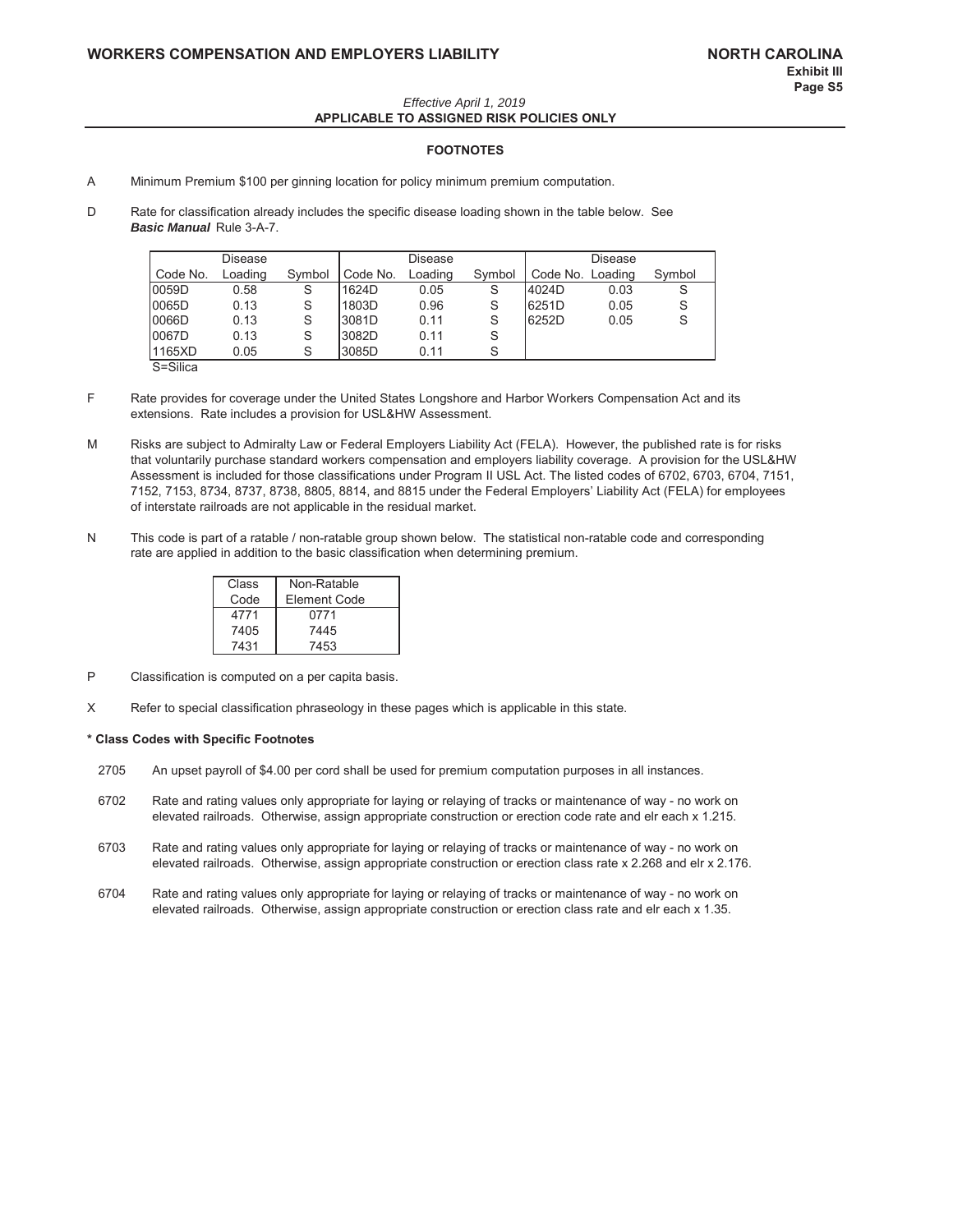#### Effective April 1, 2019 APPLICABLE TO ASSIGNED RISK POLICIES ONLY

#### **FOOTNOTES**

- A Minimum Premium \$100 per ginning location for policy minimum premium computation.
- $\mathsf{D}$ Rate for classification already includes the specific disease loading shown in the table below. See **Basic Manual Rule 3-A-7.**

|             | Disease |        |          | Disease |        |                  | Disease |        |
|-------------|---------|--------|----------|---------|--------|------------------|---------|--------|
| Code No.    | Loading | Symbol | Code No. | Loading | Symbol | Code No. Loading |         | Symbol |
| 0059D       | 0.58    | S      | 1624D    | 0.05    | S      | 4024D            | 0.03    | S      |
| 0065D       | 0.13    | S      | 1803D    | 0.96    | S      | 6251D            | 0.05    | S      |
| 0066D       | 0.13    | S      | 3081D    | 0.11    | S      | 6252D            | 0.05    | S      |
| 0067D       | 0.13    | S      | 3082D    | 0.11    |        |                  |         |        |
| 1165XD      | 0.05    | S      | 3085D    | 0.11    | S      |                  |         |        |
| $C = C  v $ |         |        |          |         |        |                  |         |        |

S=Silica

- F Rate provides for coverage under the United States Longshore and Harbor Workers Compensation Act and its extensions. Rate includes a provision for USL&HW Assessment.
- Risks are subject to Admiralty Law or Federal Employers Liability Act (FELA). However, the published rate is for risks M that voluntarily purchase standard workers compensation and employers liability coverage. A provision for the USL&HW Assessment is included for those classifications under Program II USL Act. The listed codes of 6702, 6703, 6704, 7151, 7152, 7153, 8734, 8737, 8738, 8805, 8814, and 8815 under the Federal Employers' Liability Act (FELA) for employees of interstate railroads are not applicable in the residual market.
- This code is part of a ratable / non-ratable group shown below. The statistical non-ratable code and corresponding N rate are applied in addition to the basic classification when determining premium.

| Class | Non-Ratable  |
|-------|--------------|
| Code  | Element Code |
| 4771  | 0771         |
| 7405  | 7445         |
| 7431  | 7453         |

- $\overline{P}$ Classification is computed on a per capita basis.
- $\times$ Refer to special classification phraseology in these pages which is applicable in this state.

#### \* Class Codes with Specific Footnotes

- 2705 An upset payroll of \$4.00 per cord shall be used for premium computation purposes in all instances.
- 6702 Rate and rating values only appropriate for laying or relaying of tracks or maintenance of way - no work on elevated railroads. Otherwise, assign appropriate construction or erection code rate and elr each x 1.215.
- 6703 Rate and rating values only appropriate for laying or relaying of tracks or maintenance of way - no work on elevated railroads. Otherwise, assign appropriate construction or erection class rate x 2.268 and elr x 2.176.
- 6704 Rate and rating values only appropriate for laying or relaying of tracks or maintenance of way - no work on elevated railroads. Otherwise, assign appropriate construction or erection class rate and elr each x 1.35.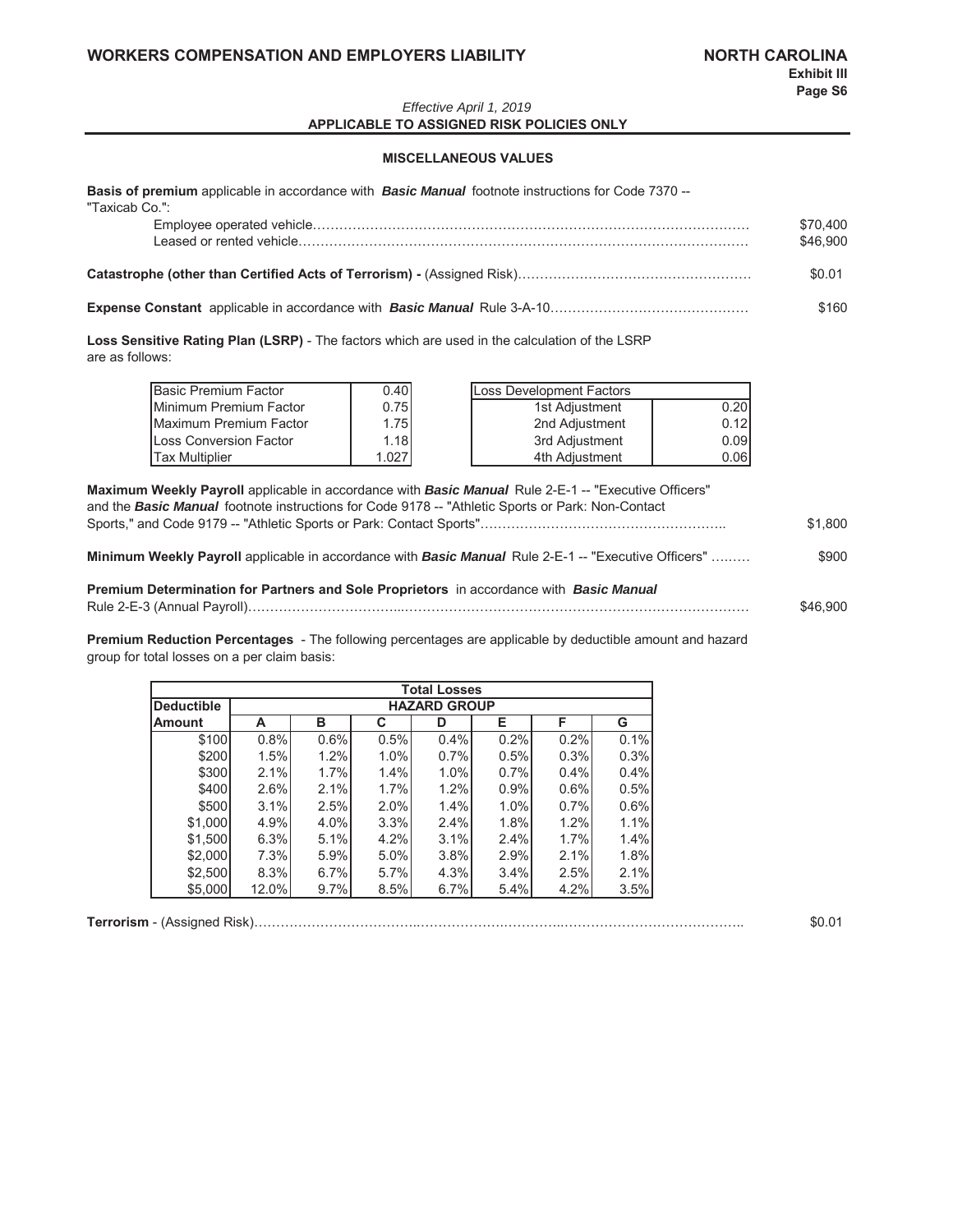#### Effective April 1, 2019 APPLICABLE TO ASSIGNED RISK POLICIES ONLY

#### **MISCELLANEOUS VALUES**

Basis of premium applicable in accordance with Basic Manual footnote instructions for Code 7370 --

| "Taxicab Co.": | \$70,400<br>\$46,900 |
|----------------|----------------------|
|                | \$0.01               |
|                | \$160                |

Loss Sensitive Rating Plan (LSRP) - The factors which are used in the calculation of the LSRP are as follows:

| Basic Premium Factor   | 0.40  | Loss Development Factors |
|------------------------|-------|--------------------------|
| Minimum Premium Factor | 0.75  | 0.20<br>1st Adjustment   |
| Maximum Premium Factor | 1.75  | 0.12<br>2nd Adiustment   |
| Loss Conversion Factor | 1.18  | 0.09<br>3rd Adjustment   |
| <b>Tax Multiplier</b>  | 1.027 | 0.06<br>4th Adiustment   |

| <b>Maximum Weekly Payroll</b> applicable in accordance with <b>Basic Manual</b> Rule 2-E-1 -- "Executive Officers"<br>and the <b>Basic Manual</b> footnote instructions for Code 9178 -- "Athletic Sports or Park: Non-Contact |          |
|--------------------------------------------------------------------------------------------------------------------------------------------------------------------------------------------------------------------------------|----------|
|                                                                                                                                                                                                                                | \$1.800  |
| <b>Minimum Weekly Payroll</b> applicable in accordance with <b>Basic Manual</b> Rule 2-E-1 -- "Executive Officers"                                                                                                             | \$900    |
| <b>Premium Determination for Partners and Sole Proprietors</b> in accordance with <b>Basic Manual</b>                                                                                                                          | \$46,900 |

Premium Reduction Percentages - The following percentages are applicable by deductible amount and hazard group for total losses on a per claim basis:

|                   |       |                     |      | <b>Total Losses</b> |      |      |      |  |  |  |  |  |
|-------------------|-------|---------------------|------|---------------------|------|------|------|--|--|--|--|--|
| <b>Deductible</b> |       | <b>HAZARD GROUP</b> |      |                     |      |      |      |  |  |  |  |  |
| <b>Amount</b>     | А     | в                   | C    | D                   | Е    | F    | G    |  |  |  |  |  |
| \$100             | 0.8%  | 0.6%                | 0.5% | 0.4%                | 0.2% | 0.2% | 0.1% |  |  |  |  |  |
| \$200             | 1.5%  | 1.2%                | 1.0% | 0.7%                | 0.5% | 0.3% | 0.3% |  |  |  |  |  |
| \$300             | 2.1%  | 1.7%                | 1.4% | 1.0%                | 0.7% | 0.4% | 0.4% |  |  |  |  |  |
| \$400             | 2.6%  | 2.1%                | 1.7% | 1.2%                | 0.9% | 0.6% | 0.5% |  |  |  |  |  |
| \$500             | 3.1%  | 2.5%                | 2.0% | 1.4%                | 1.0% | 0.7% | 0.6% |  |  |  |  |  |
| \$1,000           | 4.9%  | 4.0%                | 3.3% | 2.4%                | 1.8% | 1.2% | 1.1% |  |  |  |  |  |
| \$1,500           | 6.3%  | 5.1%                | 4.2% | 3.1%                | 2.4% | 1.7% | 1.4% |  |  |  |  |  |
| \$2,000           | 7.3%  | 5.9%                | 5.0% | 3.8%                | 2.9% | 2.1% | 1.8% |  |  |  |  |  |
| \$2,500           | 8.3%  | 6.7%                | 5.7% | 4.3%                | 3.4% | 2.5% | 2.1% |  |  |  |  |  |
| \$5,000           | 12.0% | 9.7%                | 8.5% | 6.7%                | 5.4% | 4.2% | 3.5% |  |  |  |  |  |

|  | \$0.01 |
|--|--------|
|--|--------|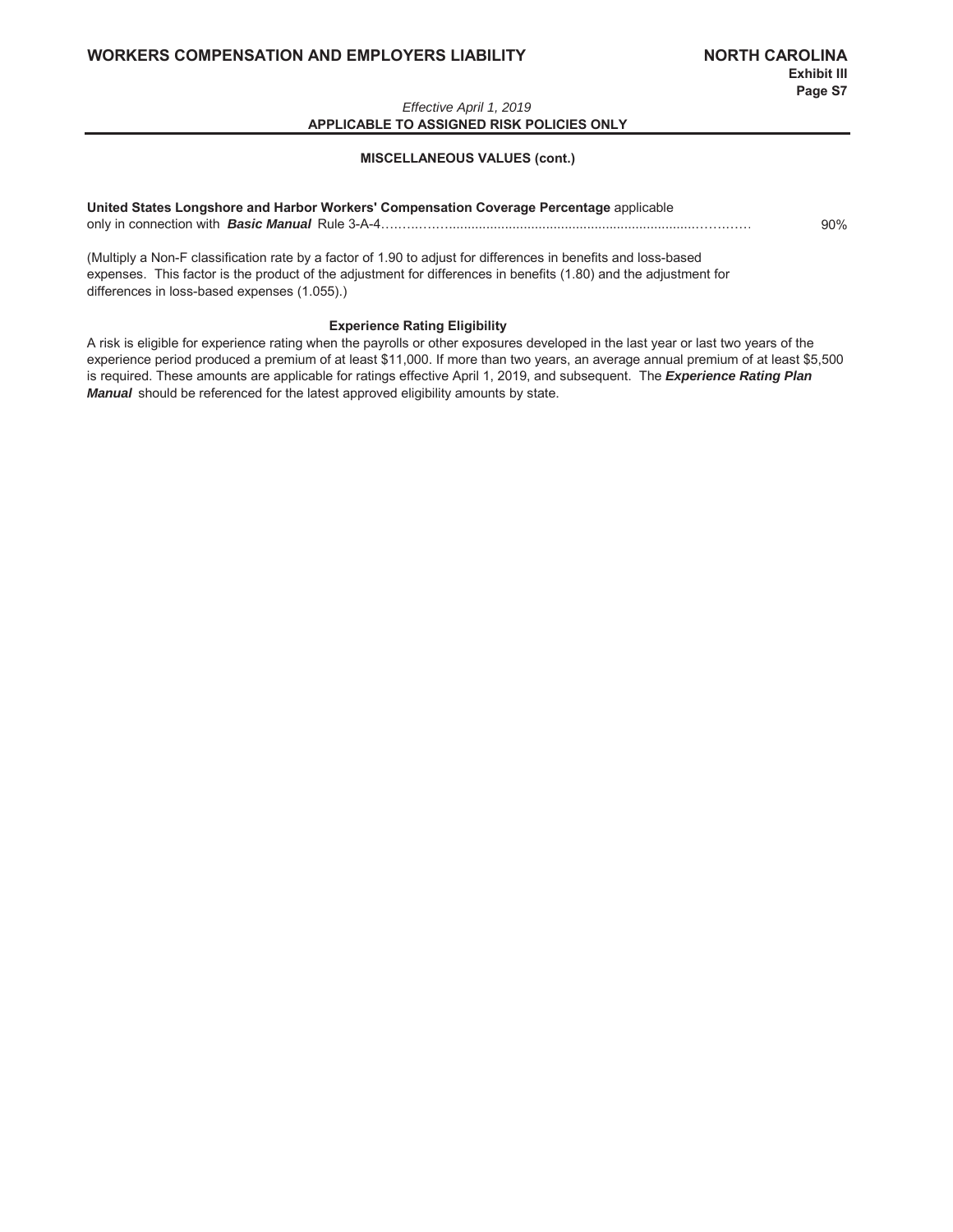#### Effective April 1, 2019 APPLICABLE TO ASSIGNED RISK POLICIES ONLY

#### **MISCELLANEOUS VALUES (cont.)**

### United States Longshore and Harbor Workers' Compensation Coverage Percentage applicable 90%

(Multiply a Non-F classification rate by a factor of 1.90 to adjust for differences in benefits and loss-based expenses. This factor is the product of the adjustment for differences in benefits (1.80) and the adjustment for differences in loss-based expenses (1.055).)

**Experience Rating Eligibility** 

A risk is eligible for experience rating when the payrolls or other exposures developed in the last year or last two years of the experience period produced a premium of at least \$11,000. If more than two years, an average annual premium of at least \$5,500 is required. These amounts are applicable for ratings effective April 1, 2019, and subsequent. The Experience Rating Plan Manual should be referenced for the latest approved eligibility amounts by state.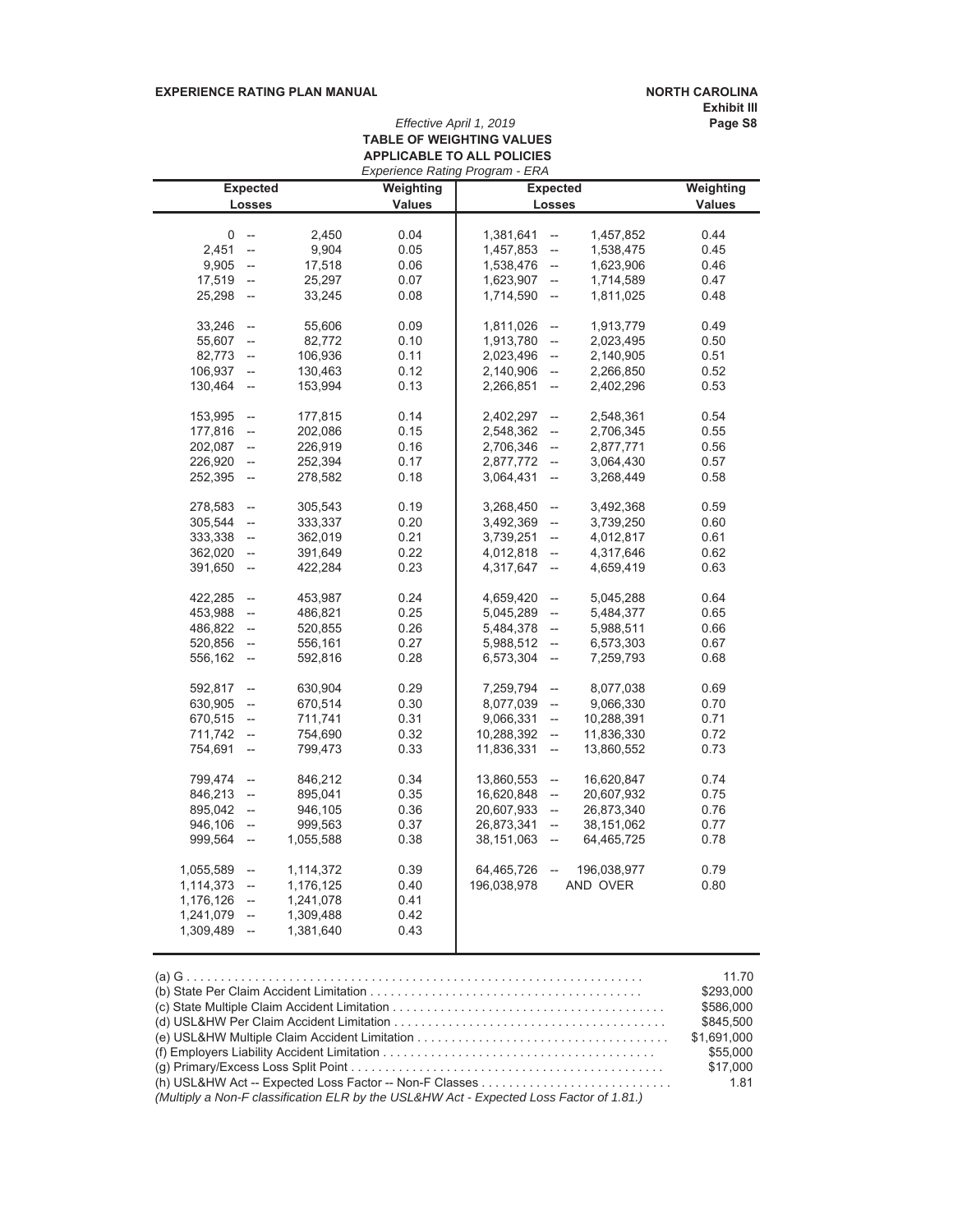#### EXPERIENCE RATING PLAN MANUAL **12000 12000 12000 13000 13000 13000 1300** 13000 13000 13000 13000 13000 13000 1300

Exhibit III<br>Page S8

## *Effective April 1, 2019* **30 TABLE OF WEIGHTING VALUES APPLICABLE TO ALL POLICIES**

|           |                          |           | <b>Experience Rating Program - ERA</b> |             |                          |                 |               |
|-----------|--------------------------|-----------|----------------------------------------|-------------|--------------------------|-----------------|---------------|
|           | <b>Expected</b>          |           | Weighting                              |             |                          | <b>Expected</b> | Weighting     |
|           | Losses                   |           | <b>Values</b>                          |             | Losses                   |                 | <b>Values</b> |
|           |                          |           |                                        |             |                          |                 |               |
| 0         | $\overline{\phantom{a}}$ | 2,450     | 0.04                                   | 1,381,641   | $\overline{\phantom{a}}$ | 1,457,852       | 0.44          |
| 2,451     | $\overline{\phantom{a}}$ | 9,904     | 0.05                                   | 1,457,853   | $\overline{\phantom{a}}$ | 1,538,475       | 0.45          |
| 9,905     | $\overline{\phantom{a}}$ | 17,518    | 0.06                                   | 1,538,476   | $\overline{\phantom{a}}$ | 1,623,906       | 0.46          |
| 17,519    | $\overline{a}$           | 25,297    | 0.07                                   | 1,623,907   | $\overline{\phantom{a}}$ | 1,714,589       | 0.47          |
| 25,298    | $\overline{\phantom{a}}$ | 33,245    | 0.08                                   | 1,714,590   | $\overline{\phantom{a}}$ | 1,811,025       | 0.48          |
| 33,246    | $\overline{\phantom{a}}$ | 55,606    | 0.09                                   | 1,811,026   | $\overline{\phantom{a}}$ | 1,913,779       | 0.49          |
| 55,607    | $\overline{\phantom{a}}$ | 82,772    | 0.10                                   | 1,913,780   | $\overline{\phantom{a}}$ | 2,023,495       | 0.50          |
| 82,773    | $\overline{\phantom{a}}$ | 106,936   | 0.11                                   | 2,023,496   | $\frac{1}{2}$            | 2,140,905       | 0.51          |
| 106,937   | $\overline{\phantom{a}}$ | 130,463   | 0.12                                   | 2,140,906   | $\frac{1}{2}$            | 2,266,850       | 0.52          |
| 130,464   | $\overline{\phantom{a}}$ | 153,994   | 0.13                                   | 2,266,851   | $\overline{\phantom{a}}$ | 2,402,296       | 0.53          |
| 153,995   | $\qquad \qquad -$        | 177,815   | 0.14                                   | 2,402,297   | $\overline{\phantom{a}}$ | 2,548,361       | 0.54          |
| 177,816   | $\overline{\phantom{a}}$ | 202,086   | 0.15                                   | 2,548,362   | $\overline{\phantom{a}}$ | 2,706,345       | 0.55          |
| 202,087   | $\overline{\phantom{a}}$ | 226,919   | 0.16                                   | 2,706,346   | --                       | 2,877,771       | 0.56          |
| 226,920   | $\overline{\phantom{a}}$ | 252,394   | 0.17                                   | 2,877,772   | $\overline{\phantom{a}}$ | 3,064,430       | 0.57          |
| 252,395   | $\overline{\phantom{a}}$ | 278,582   | 0.18                                   | 3,064,431   | $\overline{\phantom{a}}$ | 3,268,449       | 0.58          |
| 278,583   | $\overline{\phantom{a}}$ | 305,543   | 0.19                                   | 3,268,450   | $\overline{\phantom{a}}$ | 3,492,368       | 0.59          |
| 305,544   | $\overline{a}$           | 333,337   | 0.20                                   | 3,492,369   | $\overline{\phantom{a}}$ | 3,739,250       | 0.60          |
| 333,338   | $\overline{\phantom{a}}$ | 362,019   | 0.21                                   | 3,739,251   | $\overline{\phantom{a}}$ | 4,012,817       | 0.61          |
| 362,020   | $\overline{\phantom{a}}$ | 391,649   | 0.22                                   | 4,012,818   | $\overline{\phantom{a}}$ | 4,317,646       | 0.62          |
| 391,650   | $\overline{\phantom{a}}$ | 422,284   | 0.23                                   | 4,317,647   | $\overline{\phantom{a}}$ | 4,659,419       | 0.63          |
|           |                          |           |                                        |             |                          |                 |               |
| 422,285   | $\overline{\phantom{a}}$ | 453,987   | 0.24                                   | 4,659,420   | $\qquad \qquad \cdots$   | 5,045,288       | 0.64          |
| 453,988   | $\overline{\phantom{a}}$ | 486,821   | 0.25                                   | 5,045,289   | $\overline{\phantom{a}}$ | 5,484,377       | 0.65          |
| 486,822   | $\overline{\phantom{a}}$ | 520,855   | 0.26                                   | 5,484,378   | $\overline{\phantom{a}}$ | 5,988,511       | 0.66          |
| 520,856   | $\overline{\phantom{a}}$ | 556,161   | 0.27                                   | 5,988,512   | $\overline{\phantom{a}}$ | 6,573,303       | 0.67          |
| 556,162   | $\overline{\phantom{a}}$ | 592,816   | 0.28                                   | 6,573,304   | $\overline{\phantom{a}}$ | 7,259,793       | 0.68          |
| 592,817   | $\overline{\phantom{a}}$ | 630,904   | 0.29                                   | 7,259,794   | $\overline{\phantom{a}}$ | 8,077,038       | 0.69          |
| 630,905   | $\overline{\phantom{a}}$ | 670,514   | 0.30                                   | 8,077,039   | $\overline{\phantom{a}}$ | 9,066,330       | 0.70          |
| 670,515   | $\overline{\phantom{a}}$ | 711,741   | 0.31                                   | 9,066,331   | $\qquad \qquad \cdots$   | 10,288,391      | 0.71          |
| 711,742   | $\overline{\phantom{a}}$ | 754,690   | 0.32                                   | 10,288,392  | $\overline{\phantom{a}}$ | 11,836,330      | 0.72          |
| 754,691   | $\overline{\phantom{a}}$ | 799,473   | 0.33                                   | 11,836,331  | $\overline{\phantom{a}}$ | 13,860,552      | 0.73          |
| 799,474   | $\overline{\phantom{a}}$ | 846,212   | 0.34                                   | 13,860,553  | $\overline{\phantom{a}}$ | 16,620,847      | 0.74          |
| 846,213   | $\overline{\phantom{a}}$ | 895,041   | 0.35                                   | 16,620,848  | --                       | 20,607,932      | 0.75          |
| 895,042   | $\overline{\phantom{a}}$ | 946,105   | 0.36                                   | 20,607,933  | $\overline{\phantom{a}}$ | 26,873,340      | 0.76          |
| 946,106   | $\overline{\phantom{a}}$ | 999,563   | 0.37                                   | 26,873,341  | $\overline{\phantom{a}}$ | 38,151,062      | 0.77          |
| 999,564   | $\overline{\phantom{a}}$ | 1,055,588 | 0.38                                   | 38,151,063  | $\overline{\phantom{a}}$ | 64,465,725      | 0.78          |
| 1,055,589 | $\overline{\phantom{a}}$ | 1,114,372 | 0.39                                   | 64,465,726  | $\overline{\phantom{a}}$ | 196,038,977     | 0.79          |
| 1,114,373 | $\overline{\phantom{a}}$ | 1,176,125 | 0.40                                   | 196,038,978 |                          | AND OVER        | 0.80          |
| 1,176,126 | $\overline{\phantom{a}}$ | 1,241,078 | 0.41                                   |             |                          |                 |               |
| 1,241,079 | $\overline{\phantom{a}}$ | 1,309,488 | 0.42                                   |             |                          |                 |               |
| 1,309,489 | $\overline{\phantom{a}}$ | 1,381,640 | 0.43                                   |             |                          |                 |               |
|           |                          |           |                                        |             |                          |                 |               |

|                                                                                         | 11.70       |
|-----------------------------------------------------------------------------------------|-------------|
|                                                                                         | \$293.000   |
|                                                                                         | \$586,000   |
|                                                                                         | \$845,500   |
|                                                                                         | \$1.691.000 |
|                                                                                         | \$55,000    |
|                                                                                         | \$17,000    |
|                                                                                         | 1.81        |
| (Multiply a Non-F classification ELR by the USL&HW Act - Expected Loss Factor of 1.81.) |             |